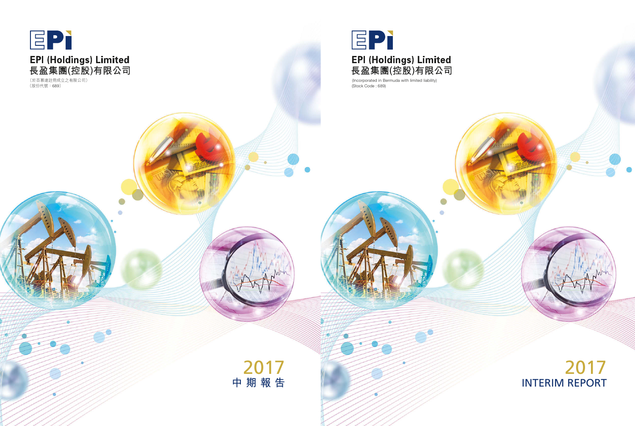

(Stock Code : 689) (Incorporated in Bermuda with limited liability)

# 2017 INTERIM REPORT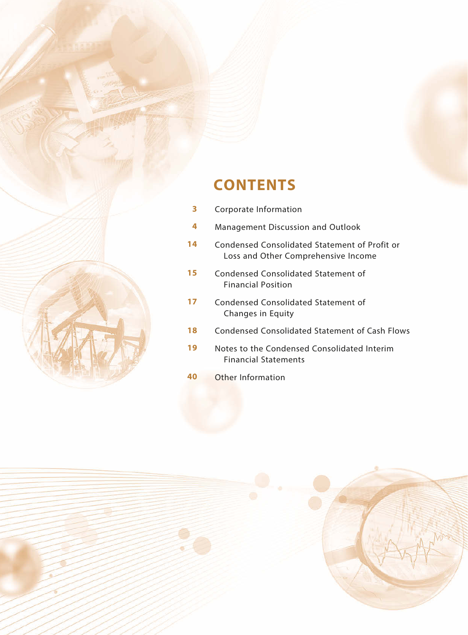

## **CONTENTS**

- Corporate Information
- Management Discussion and Outlook
- Condensed Consolidated Statement of Profit or Loss and Other Comprehensive Income
- Condensed Consolidated Statement of Financial Position
- Condensed Consolidated Statement of Changes in Equity
- Condensed Consolidated Statement of Cash Flows
- Notes to the Condensed Consolidated Interim Financial Statements
- Other Information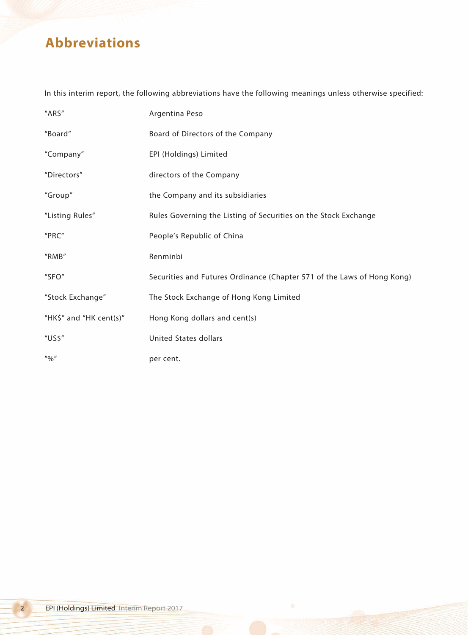## **Abbreviations**

In this interim report, the following abbreviations have the following meanings unless otherwise specified:

| "ARS"                                 | Argentina Peso                                                          |
|---------------------------------------|-------------------------------------------------------------------------|
| "Board"                               | Board of Directors of the Company                                       |
| "Company"                             | EPI (Holdings) Limited                                                  |
| "Directors"                           | directors of the Company                                                |
| "Group"                               | the Company and its subsidiaries                                        |
| "Listing Rules"                       | Rules Governing the Listing of Securities on the Stock Exchange         |
| "PRC"                                 | People's Republic of China                                              |
| "RMB"                                 | Renminbi                                                                |
| "SFO"                                 | Securities and Futures Ordinance (Chapter 571 of the Laws of Hong Kong) |
| "Stock Exchange"                      | The Stock Exchange of Hong Kong Limited                                 |
| "HK\$" and "HK cent(s)"               | Hong Kong dollars and cent(s)                                           |
| "US\$"                                | <b>United States dollars</b>                                            |
| $^{\prime\prime}$ % $^{\prime\prime}$ | per cent.                                                               |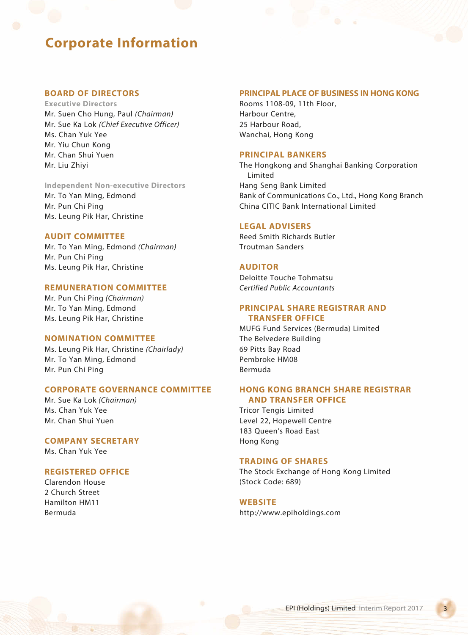## **Corporate Information**

### **BOARD OF DIRECTORS**

**Executive Directors** Mr. Suen Cho Hung, Paul *(Chairman)* Mr. Sue Ka Lok *(Chief Executive Officer)* Ms. Chan Yuk Yee Mr. Yiu Chun Kong Mr. Chan Shui Yuen Mr. Liu Zhiyi

**Independent Non-executive Directors** Mr. To Yan Ming, Edmond Mr. Pun Chi Ping Ms. Leung Pik Har, Christine

### **AUDIT COMMITTEE**

Mr. To Yan Ming, Edmond *(Chairman)* Mr. Pun Chi Ping Ms. Leung Pik Har, Christine

### **REMUNERATION COMMITTEE**

Mr. Pun Chi Ping *(Chairman)* Mr. To Yan Ming, Edmond Ms. Leung Pik Har, Christine

### **NOMINATION COMMITTEE**

Ms. Leung Pik Har, Christine *(Chairlady)* Mr. To Yan Ming, Edmond Mr. Pun Chi Ping

### **CORPORATE GOVERNANCE COMMITTEE**

Mr. Sue Ka Lok *(Chairman)* Ms. Chan Yuk Yee Mr. Chan Shui Yuen

## **COMPANY SECRETARY**

Ms. Chan Yuk Yee

### **REGISTERED OFFICE**

Clarendon House 2 Church Street Hamilton HM11 Bermuda

#### **PRINCIPAL PLACE OF BUSINESS IN HONG KONG**

Rooms 1108-09, 11th Floor, Harbour Centre, 25 Harbour Road, Wanchai, Hong Kong

### **PRINCIPAL BANKERS**

The Hongkong and Shanghai Banking Corporation Limited Hang Seng Bank Limited Bank of Communications Co., Ltd., Hong Kong Branch China CITIC Bank International Limited

#### **LEGAL ADVISERS**

Reed Smith Richards Butler Troutman Sanders

### **AUDITOR**

Deloitte Touche Tohmatsu *Certified Public Accountants*

### **PRINCIPAL SHARE REGISTRAR AND TRANSFER OFFICE**

MUFG Fund Services (Bermuda) Limited The Belvedere Building 69 Pitts Bay Road Pembroke HM08 Bermuda

### **HONG KONG BRANCH SHARE REGISTRAR AND TRANSFER OFFICE**

Tricor Tengis Limited Level 22, Hopewell Centre 183 Queen's Road East Hong Kong

#### **TRADING OF SHARES**

The Stock Exchange of Hong Kong Limited (Stock Code: 689)

#### **WEBSITE**

http://www.epiholdings.com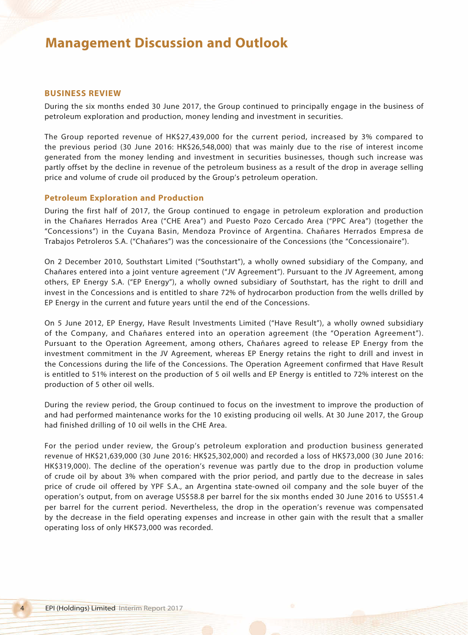#### **BUSINESS REVIEW**

During the six months ended 30 June 2017, the Group continued to principally engage in the business of petroleum exploration and production, money lending and investment in securities.

The Group reported revenue of HK\$27,439,000 for the current period, increased by 3% compared to the previous period (30 June 2016: HK\$26,548,000) that was mainly due to the rise of interest income generated from the money lending and investment in securities businesses, though such increase was partly offset by the decline in revenue of the petroleum business as a result of the drop in average selling price and volume of crude oil produced by the Group's petroleum operation.

#### **Petroleum Exploration and Production**

During the first half of 2017, the Group continued to engage in petroleum exploration and production in the Chañares Herrados Area ("CHE Area") and Puesto Pozo Cercado Area ("PPC Area") (together the "Concessions") in the Cuyana Basin, Mendoza Province of Argentina. Chañares Herrados Empresa de Trabajos Petroleros S.A. ("Chañares") was the concessionaire of the Concessions (the "Concessionaire").

On 2 December 2010, Southstart Limited ("Southstart"), a wholly owned subsidiary of the Company, and Chañares entered into a joint venture agreement ("JV Agreement"). Pursuant to the JV Agreement, among others, EP Energy S.A. ("EP Energy"), a wholly owned subsidiary of Southstart, has the right to drill and invest in the Concessions and is entitled to share 72% of hydrocarbon production from the wells drilled by EP Energy in the current and future years until the end of the Concessions.

On 5 June 2012, EP Energy, Have Result Investments Limited ("Have Result"), a wholly owned subsidiary of the Company, and Chañares entered into an operation agreement (the "Operation Agreement"). Pursuant to the Operation Agreement, among others, Chañares agreed to release EP Energy from the investment commitment in the JV Agreement, whereas EP Energy retains the right to drill and invest in the Concessions during the life of the Concessions. The Operation Agreement confirmed that Have Result is entitled to 51% interest on the production of 5 oil wells and EP Energy is entitled to 72% interest on the production of 5 other oil wells.

During the review period, the Group continued to focus on the investment to improve the production of and had performed maintenance works for the 10 existing producing oil wells. At 30 June 2017, the Group had finished drilling of 10 oil wells in the CHE Area.

For the period under review, the Group's petroleum exploration and production business generated revenue of HK\$21,639,000 (30 June 2016: HK\$25,302,000) and recorded a loss of HK\$73,000 (30 June 2016: HK\$319,000). The decline of the operation's revenue was partly due to the drop in production volume of crude oil by about 3% when compared with the prior period, and partly due to the decrease in sales price of crude oil offered by YPF S.A., an Argentina state-owned oil company and the sole buyer of the operation's output, from on average US\$58.8 per barrel for the six months ended 30 June 2016 to US\$51.4 per barrel for the current period. Nevertheless, the drop in the operation's revenue was compensated by the decrease in the field operating expenses and increase in other gain with the result that a smaller operating loss of only HK\$73,000 was recorded.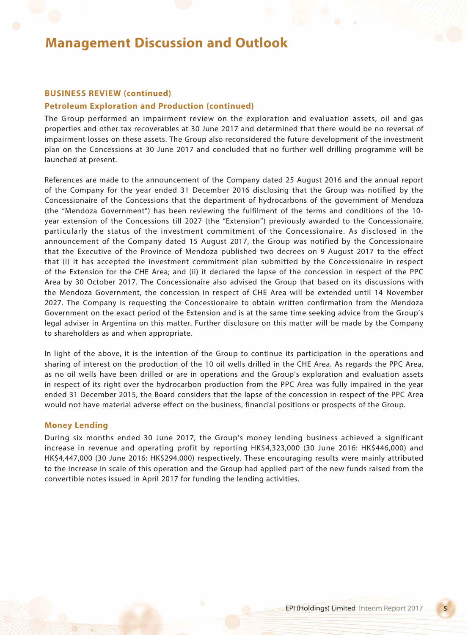### **BUSINESS REVIEW (continued)**

### **Petroleum Exploration and Production (continued)**

The Group performed an impairment review on the exploration and evaluation assets, oil and gas properties and other tax recoverables at 30 June 2017 and determined that there would be no reversal of impairment losses on these assets. The Group also reconsidered the future development of the investment plan on the Concessions at 30 June 2017 and concluded that no further well drilling programme will be launched at present.

References are made to the announcement of the Company dated 25 August 2016 and the annual report of the Company for the year ended 31 December 2016 disclosing that the Group was notified by the Concessionaire of the Concessions that the department of hydrocarbons of the government of Mendoza (the "Mendoza Government") has been reviewing the fulfilment of the terms and conditions of the 10 year extension of the Concessions till 2027 (the "Extension") previously awarded to the Concessionaire, particularly the status of the investment commitment of the Concessionaire. As disclosed in the announcement of the Company dated 15 August 2017, the Group was notified by the Concessionaire that the Executive of the Province of Mendoza published two decrees on 9 August 2017 to the effect that (i) it has accepted the investment commitment plan submitted by the Concessionaire in respect of the Extension for the CHE Area; and (ii) it declared the lapse of the concession in respect of the PPC Area by 30 October 2017. The Concessionaire also advised the Group that based on its discussions with the Mendoza Government, the concession in respect of CHE Area will be extended until 14 November 2027. The Company is requesting the Concessionaire to obtain written confirmation from the Mendoza Government on the exact period of the Extension and is at the same time seeking advice from the Group's legal adviser in Argentina on this matter. Further disclosure on this matter will be made by the Company to shareholders as and when appropriate.

In light of the above, it is the intention of the Group to continue its participation in the operations and sharing of interest on the production of the 10 oil wells drilled in the CHE Area. As regards the PPC Area, as no oil wells have been drilled or are in operations and the Group's exploration and evaluation assets in respect of its right over the hydrocarbon production from the PPC Area was fully impaired in the year ended 31 December 2015, the Board considers that the lapse of the concession in respect of the PPC Area would not have material adverse effect on the business, financial positions or prospects of the Group.

### **Money Lending**

During six months ended 30 June 2017, the Group's money lending business achieved a significant increase in revenue and operating profit by reporting HK\$4,323,000 (30 June 2016: HK\$446,000) and HK\$4,447,000 (30 June 2016: HK\$294,000) respectively. These encouraging results were mainly attributed to the increase in scale of this operation and the Group had applied part of the new funds raised from the convertible notes issued in April 2017 for funding the lending activities.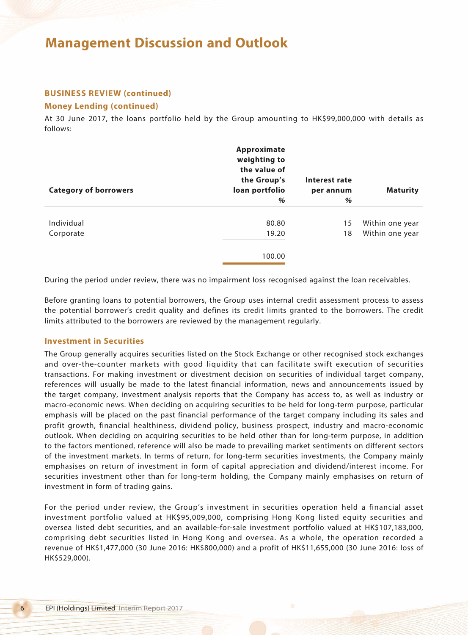## **BUSINESS REVIEW (continued)**

### **Money Lending (continued)**

At 30 June 2017, the loans portfolio held by the Group amounting to HK\$99,000,000 with details as follows:

| <b>Category of borrowers</b> | Approximate<br>weighting to<br>the value of<br>the Group's<br>loan portfolio<br>$\%$ | Interest rate<br>per annum<br>% | <b>Maturity</b>                    |
|------------------------------|--------------------------------------------------------------------------------------|---------------------------------|------------------------------------|
| Individual<br>Corporate      | 80.80<br>19.20<br>100.00                                                             | 15<br>18                        | Within one year<br>Within one year |

During the period under review, there was no impairment loss recognised against the loan receivables.

Before granting loans to potential borrowers, the Group uses internal credit assessment process to assess the potential borrower's credit quality and defines its credit limits granted to the borrowers. The credit limits attributed to the borrowers are reviewed by the management regularly.

#### **Investment in Securities**

The Group generally acquires securities listed on the Stock Exchange or other recognised stock exchanges and over-the-counter markets with good liquidity that can facilitate swift execution of securities transactions. For making investment or divestment decision on securities of individual target company, references will usually be made to the latest financial information, news and announcements issued by the target company, investment analysis reports that the Company has access to, as well as industry or macro-economic news. When deciding on acquiring securities to be held for long-term purpose, particular emphasis will be placed on the past financial performance of the target company including its sales and profit growth, financial healthiness, dividend policy, business prospect, industry and macro-economic outlook. When deciding on acquiring securities to be held other than for long-term purpose, in addition to the factors mentioned, reference will also be made to prevailing market sentiments on different sectors of the investment markets. In terms of return, for long-term securities investments, the Company mainly emphasises on return of investment in form of capital appreciation and dividend/interest income. For securities investment other than for long-term holding, the Company mainly emphasises on return of investment in form of trading gains.

For the period under review, the Group's investment in securities operation held a financial asset investment portfolio valued at HK\$95,009,000, comprising Hong Kong listed equity securities and oversea listed debt securities, and an available-for-sale investment portfolio valued at HK\$107,183,000, comprising debt securities listed in Hong Kong and oversea. As a whole, the operation recorded a revenue of HK\$1,477,000 (30 June 2016: HK\$800,000) and a profit of HK\$11,655,000 (30 June 2016: loss of HK\$529,000).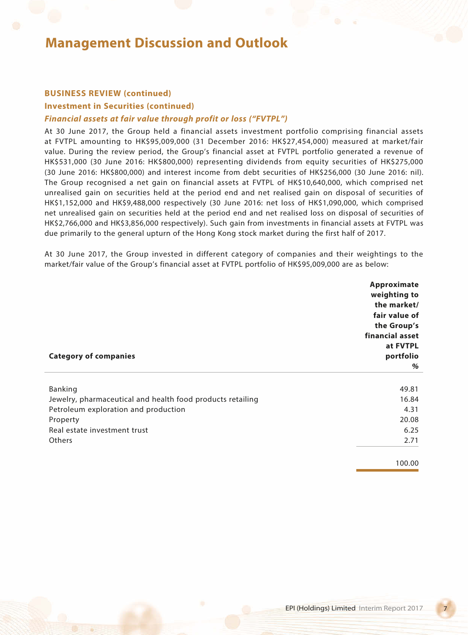## **BUSINESS REVIEW (continued)**

#### **Investment in Securities (continued)**

### *Financial assets at fair value through profit or loss ("FVTPL")*

At 30 June 2017, the Group held a financial assets investment portfolio comprising financial assets at FVTPL amounting to HK\$95,009,000 (31 December 2016: HK\$27,454,000) measured at market/fair value. During the review period, the Group's financial asset at FVTPL portfolio generated a revenue of HK\$531,000 (30 June 2016: HK\$800,000) representing dividends from equity securities of HK\$275,000 (30 June 2016: HK\$800,000) and interest income from debt securities of HK\$256,000 (30 June 2016: nil). The Group recognised a net gain on financial assets at FVTPL of HK\$10,640,000, which comprised net unrealised gain on securities held at the period end and net realised gain on disposal of securities of HK\$1,152,000 and HK\$9,488,000 respectively (30 June 2016: net loss of HK\$1,090,000, which comprised net unrealised gain on securities held at the period end and net realised loss on disposal of securities of HK\$2,766,000 and HK\$3,856,000 respectively). Such gain from investments in financial assets at FVTPL was due primarily to the general upturn of the Hong Kong stock market during the first half of 2017.

At 30 June 2017, the Group invested in different category of companies and their weightings to the market/fair value of the Group's financial asset at FVTPL portfolio of HK\$95,009,000 are as below:

|                                                                                                                                                                            | Approximate<br>weighting to<br>the market/<br>fair value of<br>the Group's |
|----------------------------------------------------------------------------------------------------------------------------------------------------------------------------|----------------------------------------------------------------------------|
| <b>Category of companies</b>                                                                                                                                               | financial asset<br>at FVTPL<br>portfolio<br>%                              |
| Banking<br>Jewelry, pharmaceutical and health food products retailing<br>Petroleum exploration and production<br>Property<br>Real estate investment trust<br><b>Others</b> | 49.81<br>16.84<br>4.31<br>20.08<br>6.25<br>2.71                            |
|                                                                                                                                                                            | 100.00                                                                     |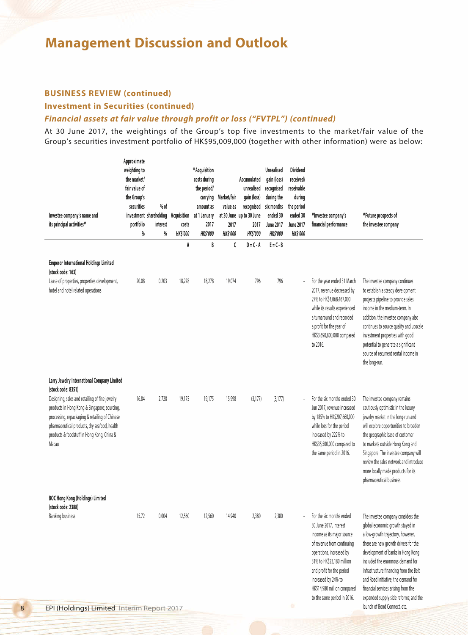## **BUSINESS REVIEW (continued)**

### **Investment in Securities (continued)**

### *Financial assets at fair value through profit or loss ("FVTPL") (continued)*

At 30 June 2017, the weightings of the Group's top five investments to the market/fair value of the Group's securities investment portfolio of HK\$95,009,000 (together with other information) were as below:

| Investee company's name and<br>its principal activities#                                                                                                                                                                                                | Approximate<br>weighting to<br>the market/<br>fair value of<br>the Group's<br>securities<br>portfolio<br>% | $%$ of<br>investment shareholding<br>interest<br>% | Acquisition<br>costs<br><b>HK\$'000</b> | *Acquisition<br>costs during<br>the period/<br>carrying<br>amount as<br>at 1 January<br>2017<br><b>HK\$'000</b> | Market/fair<br>value as<br>2017<br><b>HK\$'000</b> | Accumulated<br>unrealised<br>gain (loss)<br>recognised<br>at 30 June up to 30 June<br>2017<br><b>HK\$'000</b> | <b>Unrealised</b><br>gain (loss)<br>recognised<br>during the<br>six months<br>ended 30<br><b>June 2017</b><br><b>HK\$'000</b> | <b>Dividend</b><br>received/<br>receivable<br>during<br>the period<br>ended 30<br><b>June 2017</b><br><b>HK\$'000</b> | #Investee company's<br>financial performance                                                                                                                                                                                                                                              | #Future prospects of<br>the investee company                                                                                                                                                                                                                                                                                                                                                                                  |
|---------------------------------------------------------------------------------------------------------------------------------------------------------------------------------------------------------------------------------------------------------|------------------------------------------------------------------------------------------------------------|----------------------------------------------------|-----------------------------------------|-----------------------------------------------------------------------------------------------------------------|----------------------------------------------------|---------------------------------------------------------------------------------------------------------------|-------------------------------------------------------------------------------------------------------------------------------|-----------------------------------------------------------------------------------------------------------------------|-------------------------------------------------------------------------------------------------------------------------------------------------------------------------------------------------------------------------------------------------------------------------------------------|-------------------------------------------------------------------------------------------------------------------------------------------------------------------------------------------------------------------------------------------------------------------------------------------------------------------------------------------------------------------------------------------------------------------------------|
|                                                                                                                                                                                                                                                         |                                                                                                            |                                                    | A                                       | B                                                                                                               | C                                                  | $D = C - A$                                                                                                   | $E = C - B$                                                                                                                   |                                                                                                                       |                                                                                                                                                                                                                                                                                           |                                                                                                                                                                                                                                                                                                                                                                                                                               |
| <b>Emperor International Holdings Limited</b><br>(stock code: 163)                                                                                                                                                                                      |                                                                                                            |                                                    |                                         |                                                                                                                 |                                                    |                                                                                                               |                                                                                                                               |                                                                                                                       |                                                                                                                                                                                                                                                                                           |                                                                                                                                                                                                                                                                                                                                                                                                                               |
| Lease of properties, properties development,<br>hotel and hotel related operations                                                                                                                                                                      | 20.08                                                                                                      | 0.203                                              | 18,278                                  | 18,278                                                                                                          | 19,074                                             | 796                                                                                                           | 796                                                                                                                           |                                                                                                                       | For the year ended 31 March<br>2017, revenue decreased by<br>27% to HK\$4,068,467,000<br>while its results experienced<br>a turnaround and recorded<br>a profit for the year of<br>HK\$3,690,800,000 compared<br>to 2016.                                                                 | The investee company continues<br>to establish a steady development<br>projects pipeline to provide sales<br>income in the medium-term. In<br>addition, the investee company also<br>continues to source quality and upscale<br>investment properties with good<br>potential to generate a significant<br>source of recurrent rental income in<br>the long-run.                                                               |
| Larry Jewelry International Company Limited<br>(stock code: 8351)                                                                                                                                                                                       |                                                                                                            |                                                    |                                         |                                                                                                                 |                                                    |                                                                                                               |                                                                                                                               |                                                                                                                       |                                                                                                                                                                                                                                                                                           |                                                                                                                                                                                                                                                                                                                                                                                                                               |
| Designing, sales and retailing of fine jewelry<br>products in Hong Kong & Singapore; sourcing,<br>processing, repackaging & retailing of Chinese<br>pharmaceutical products, dry seafood, health<br>products & foodstuff in Hong Kong, China &<br>Macau | 16.84                                                                                                      | 2.728                                              | 19,175                                  | 19,175                                                                                                          | 15,998                                             | (3, 177)                                                                                                      | (3,177)                                                                                                                       |                                                                                                                       | For the six months ended 30<br>Jun 2017, revenue increased<br>by 185% to HK\$207,660,000<br>while loss for the period<br>increased by 222% to<br>HK\$35,500,000 compared to<br>the same period in 2016.                                                                                   | The investee company remains<br>cautiously optimistic in the luxury<br>jewelry market in the long-run and<br>will explore opportunities to broaden<br>the geographic base of customer<br>to markets outside Hong Kong and<br>Singapore. The investee company will<br>review the sales network and introduce<br>more locally made products for its<br>pharmaceutical business.                                                 |
| <b>BOC Hong Kong (Holdings) Limited</b><br>(stock code: 2388)                                                                                                                                                                                           |                                                                                                            |                                                    |                                         |                                                                                                                 |                                                    |                                                                                                               |                                                                                                                               |                                                                                                                       |                                                                                                                                                                                                                                                                                           |                                                                                                                                                                                                                                                                                                                                                                                                                               |
| <b>Banking business</b><br><b>EPI (Holdings) Limited Interim Report 2017</b>                                                                                                                                                                            | 15.72                                                                                                      | 0.004                                              | 12,560                                  | 12,560                                                                                                          | 14,940                                             | 2,380                                                                                                         | 2,380                                                                                                                         | ۰                                                                                                                     | For the six months ended<br>30 June 2017, interest<br>income as its major source<br>of revenue from continuing<br>operations, increased by<br>31% to HK\$23,180 million<br>and profit for the period<br>increased by 24% to<br>HK\$14,980 million compared<br>to the same period in 2016. | The investee company considers the<br>global economic growth stayed in<br>a low-growth trajectory, however,<br>there are new growth drivers for the<br>development of banks in Hong Kong<br>included the enormous demand for<br>infrastructure financing from the Belt<br>and Road Initiative: the demand for<br>financial services arising from the<br>expanded supply-side reforms; and the<br>launch of Bond Connect, etc. |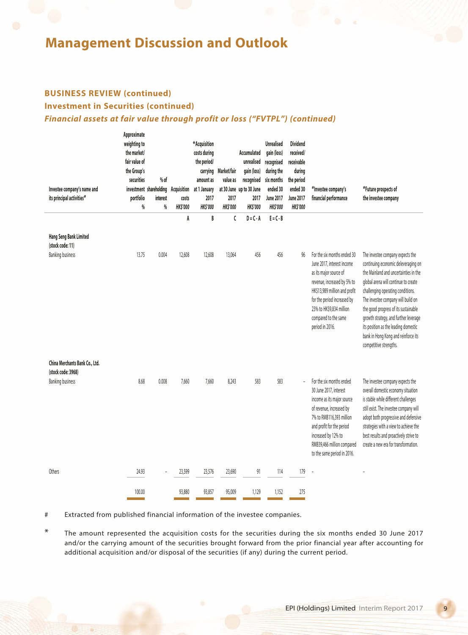## **BUSINESS REVIEW (continued)**

## **Investment in Securities (continued)**

 $A$ 

## *Financial assets at fair value through profit or loss ("FVTPL") (continued)*

| Investee company's name and<br>its principal activities#                     | <b>Approximate</b><br>weighting to<br>the market/<br>fair value of<br>the Group's<br>securities<br>portfolio<br>$\%$ | % of<br>investment shareholding<br>interest<br>% | Acquisition<br>costs<br><b>HK\$'000</b> | *Acquisition<br>costs during<br>the period/<br>amount as<br>at 1 January<br>2017<br><b>HK\$'000</b> | carrying Market/fair<br>value as<br>2017<br><b>HK\$'000</b> | Accumulated<br>unrealised<br>gain (loss)<br>recognised<br>at 30 June up to 30 June<br>2017<br><b>HK\$'000</b> | <b>Unrealised</b><br>gain (loss)<br>recognised<br>during the<br>six months<br>ended 30<br><b>June 2017</b><br><b>HK\$'000</b> | <b>Dividend</b><br>received/<br>receivable<br>during<br>the period<br>ended 30<br><b>June 2017</b><br><b>HK\$'000</b> | #Investee company's<br>financial performance                                                                                                                                                                                                              | #Future prospects of<br>the investee company                                                                                                                                                                                                                                                                                |
|------------------------------------------------------------------------------|----------------------------------------------------------------------------------------------------------------------|--------------------------------------------------|-----------------------------------------|-----------------------------------------------------------------------------------------------------|-------------------------------------------------------------|---------------------------------------------------------------------------------------------------------------|-------------------------------------------------------------------------------------------------------------------------------|-----------------------------------------------------------------------------------------------------------------------|-----------------------------------------------------------------------------------------------------------------------------------------------------------------------------------------------------------------------------------------------------------|-----------------------------------------------------------------------------------------------------------------------------------------------------------------------------------------------------------------------------------------------------------------------------------------------------------------------------|
|                                                                              |                                                                                                                      |                                                  | A                                       | B                                                                                                   | C                                                           | $D = C - A$                                                                                                   | $E = C - B$                                                                                                                   |                                                                                                                       |                                                                                                                                                                                                                                                           |                                                                                                                                                                                                                                                                                                                             |
| <b>Hang Seng Bank Limited</b><br>(stock code: 11)<br><b>Banking business</b> | 13.75                                                                                                                | 0.004                                            | 12,608                                  | 12,608                                                                                              | 13,064                                                      | 456                                                                                                           | 456                                                                                                                           | 96                                                                                                                    | For the six months ended 30<br>June 2017, interest income<br>as its major source of                                                                                                                                                                       | The investee company expects the<br>continuing economic deleveraging on<br>the Mainland and uncertainties in the                                                                                                                                                                                                            |
|                                                                              |                                                                                                                      |                                                  |                                         |                                                                                                     |                                                             |                                                                                                               |                                                                                                                               |                                                                                                                       | revenue, increased by 5% to<br>HK\$13,989 million and profit<br>for the period increased by<br>23% to HK\$9,834 million<br>compared to the same<br>period in 2016.                                                                                        | global arena will continue to create<br>challenging operating conditions.<br>The investee company will build on<br>the good progress of its sustainable<br>growth strategy, and further leverage<br>its position as the leading domestic<br>bank in Hong Kong and reinforce its<br>competitive strengths.                   |
| China Merchants Bank Co., Ltd.                                               |                                                                                                                      |                                                  |                                         |                                                                                                     |                                                             |                                                                                                               |                                                                                                                               |                                                                                                                       |                                                                                                                                                                                                                                                           |                                                                                                                                                                                                                                                                                                                             |
| (stock code: 3968)<br><b>Banking business</b>                                | 8.68                                                                                                                 | 0.008                                            | 7,660                                   | 7,660                                                                                               | 8,243                                                       | 583                                                                                                           | 583                                                                                                                           |                                                                                                                       | For the six months ended<br>30 June 2017, interest<br>income as its major source<br>of revenue, increased by<br>7% to RMB116,393 million<br>and profit for the period<br>increased by 12% to<br>RMB39,466 million compared<br>to the same period in 2016. | The investee company expects the<br>overall domestic economy situation<br>is stable while different challenges<br>still exist. The investee company will<br>adopt both progressive and defensive<br>strategies with a view to achieve the<br>best results and proactively strive to<br>create a new era for transformation. |
| Others                                                                       | 24.93                                                                                                                |                                                  | 23,599                                  | 23,576                                                                                              | 23,690                                                      | 91                                                                                                            | 114                                                                                                                           | 179                                                                                                                   | ÷,                                                                                                                                                                                                                                                        |                                                                                                                                                                                                                                                                                                                             |
|                                                                              | 100.00                                                                                                               |                                                  | 93,880                                  | 93,857                                                                                              | 95,009                                                      | 1,129                                                                                                         | 1,152                                                                                                                         | 275                                                                                                                   |                                                                                                                                                                                                                                                           |                                                                                                                                                                                                                                                                                                                             |

# Extracted from published financial information of the investee companies.

\* The amount represented the acquisition costs for the securities during the six months ended 30 June 2017 and/or the carrying amount of the securities brought forward from the prior financial year after accounting for additional acquisition and/or disposal of the securities (if any) during the current period.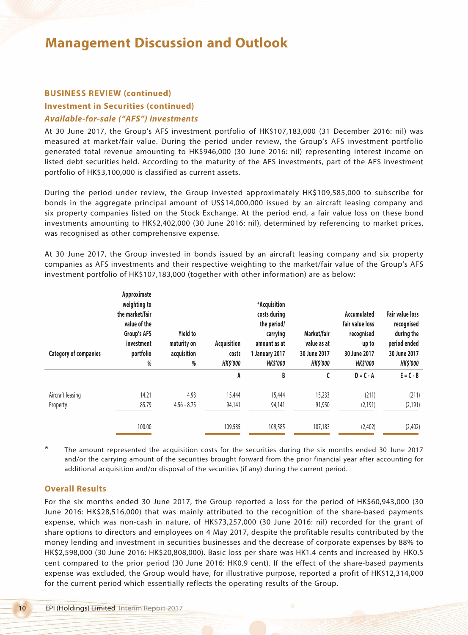## **BUSINESS REVIEW (continued)**

## **Investment in Securities (continued)** *Available-for-sale ("AFS") investments*

At 30 June 2017, the Group's AFS investment portfolio of HK\$107,183,000 (31 December 2016: nil) was measured at market/fair value. During the period under review, the Group's AFS investment portfolio generated total revenue amounting to HK\$946,000 (30 June 2016: nil) representing interest income on listed debt securities held. According to the maturity of the AFS investments, part of the AFS investment portfolio of HK\$3,100,000 is classified as current assets.

During the period under review, the Group invested approximately HK\$109,585,000 to subscribe for bonds in the aggregate principal amount of US\$14,000,000 issued by an aircraft leasing company and six property companies listed on the Stock Exchange. At the period end, a fair value loss on these bond investments amounting to HK\$2,402,000 (30 June 2016: nil), determined by referencing to market prices, was recognised as other comprehensive expense.

At 30 June 2017, the Group invested in bonds issued by an aircraft leasing company and six property companies as AFS investments and their respective weighting to the market/fair value of the Group's AFS investment portfolio of HK\$107,183,000 (together with other information) are as below:

| <b>Category of companies</b> | Approximate<br>weighting to<br>the market/fair<br>value of the<br>Group's AFS<br>investment<br>portfolio<br>% | <b>Yield to</b><br>maturity on<br>acquisition<br>% | Acquisition<br>costs<br><b>HK\$'000</b> | *Acquisition<br>costs during<br>the period/<br>carrying<br>amount as at<br>1 January 2017<br><b>HK\$'000</b> | Market/fair<br>value as at<br>30 June 2017<br><b>HK\$'000</b> | Accumulated<br>fair value loss<br>recognised<br>up to<br>30 June 2017<br><b>HK\$'000</b> | <b>Fair value loss</b><br>recognised<br>during the<br>period ended<br>30 June 2017<br><b>HK\$'000</b> |
|------------------------------|---------------------------------------------------------------------------------------------------------------|----------------------------------------------------|-----------------------------------------|--------------------------------------------------------------------------------------------------------------|---------------------------------------------------------------|------------------------------------------------------------------------------------------|-------------------------------------------------------------------------------------------------------|
|                              |                                                                                                               |                                                    | A                                       | B                                                                                                            | C                                                             | $D = C - A$                                                                              | $E = C - B$                                                                                           |
| Aircraft leasing<br>Property | 14.21<br>85.79<br>100.00                                                                                      | 4.93<br>$4.56 - 8.75$                              | 15,444<br>94,141<br>109,585             | 15,444<br>94,141<br>109,585                                                                                  | 15,233<br>91,950<br>107,183                                   | (211)<br>(2, 191)<br>(2,402)                                                             | (211)<br>(2, 191)<br>(2, 402)                                                                         |

\* The amount represented the acquisition costs for the securities during the six months ended 30 June 2017 and/or the carrying amount of the securities brought forward from the prior financial year after accounting for additional acquisition and/or disposal of the securities (if any) during the current period.

### **Overall Results**

For the six months ended 30 June 2017, the Group reported a loss for the period of HK\$60,943,000 (30 June 2016: HK\$28,516,000) that was mainly attributed to the recognition of the share-based payments expense, which was non-cash in nature, of HK\$73,257,000 (30 June 2016: nil) recorded for the grant of share options to directors and employees on 4 May 2017, despite the profitable results contributed by the money lending and investment in securities businesses and the decrease of corporate expenses by 88% to HK\$2,598,000 (30 June 2016: HK\$20,808,000). Basic loss per share was HK1.4 cents and increased by HK0.5 cent compared to the prior period (30 June 2016: HK0.9 cent). If the effect of the share-based payments expense was excluded, the Group would have, for illustrative purpose, reported a profit of HK\$12,314,000 for the current period which essentially reflects the operating results of the Group.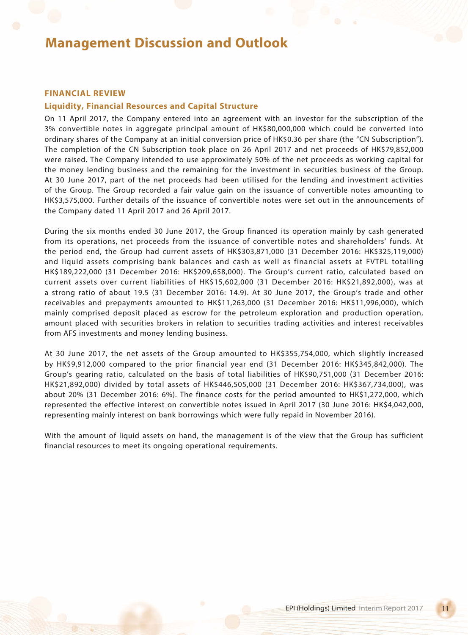#### **FINANCIAL REVIEW**

### **Liquidity, Financial Resources and Capital Structure**

On 11 April 2017, the Company entered into an agreement with an investor for the subscription of the 3% convertible notes in aggregate principal amount of HK\$80,000,000 which could be converted into ordinary shares of the Company at an initial conversion price of HK\$0.36 per share (the "CN Subscription"). The completion of the CN Subscription took place on 26 April 2017 and net proceeds of HK\$79,852,000 were raised. The Company intended to use approximately 50% of the net proceeds as working capital for the money lending business and the remaining for the investment in securities business of the Group. At 30 June 2017, part of the net proceeds had been utilised for the lending and investment activities of the Group. The Group recorded a fair value gain on the issuance of convertible notes amounting to HK\$3,575,000. Further details of the issuance of convertible notes were set out in the announcements of the Company dated 11 April 2017 and 26 April 2017.

During the six months ended 30 June 2017, the Group financed its operation mainly by cash generated from its operations, net proceeds from the issuance of convertible notes and shareholders' funds. At the period end, the Group had current assets of HK\$303,871,000 (31 December 2016: HK\$325,119,000) and liquid assets comprising bank balances and cash as well as financial assets at FVTPL totalling HK\$189,222,000 (31 December 2016: HK\$209,658,000). The Group's current ratio, calculated based on current assets over current liabilities of HK\$15,602,000 (31 December 2016: HK\$21,892,000), was at a strong ratio of about 19.5 (31 December 2016: 14.9). At 30 June 2017, the Group's trade and other receivables and prepayments amounted to HK\$11,263,000 (31 December 2016: HK\$11,996,000), which mainly comprised deposit placed as escrow for the petroleum exploration and production operation, amount placed with securities brokers in relation to securities trading activities and interest receivables from AFS investments and money lending business.

At 30 June 2017, the net assets of the Group amounted to HK\$355,754,000, which slightly increased by HK\$9,912,000 compared to the prior financial year end (31 December 2016: HK\$345,842,000). The Group's gearing ratio, calculated on the basis of total liabilities of HK\$90,751,000 (31 December 2016: HK\$21,892,000) divided by total assets of HK\$446,505,000 (31 December 2016: HK\$367,734,000), was about 20% (31 December 2016: 6%). The finance costs for the period amounted to HK\$1,272,000, which represented the effective interest on convertible notes issued in April 2017 (30 June 2016: HK\$4,042,000, representing mainly interest on bank borrowings which were fully repaid in November 2016).

With the amount of liquid assets on hand, the management is of the view that the Group has sufficient financial resources to meet its ongoing operational requirements.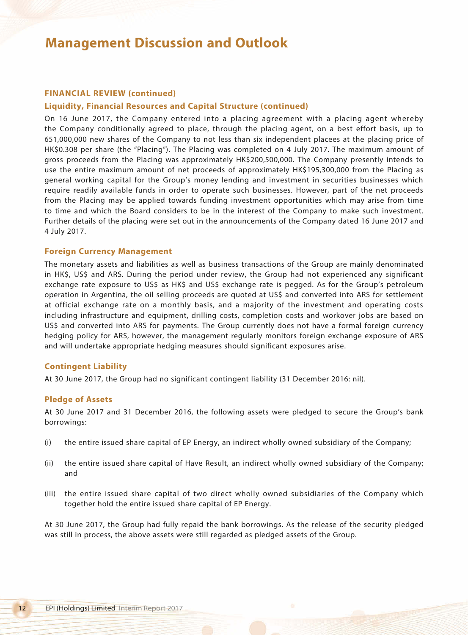## **FINANCIAL REVIEW (continued)**

### **Liquidity, Financial Resources and Capital Structure (continued)**

On 16 June 2017, the Company entered into a placing agreement with a placing agent whereby the Company conditionally agreed to place, through the placing agent, on a best effort basis, up to 651,000,000 new shares of the Company to not less than six independent placees at the placing price of HK\$0.308 per share (the "Placing"). The Placing was completed on 4 July 2017. The maximum amount of gross proceeds from the Placing was approximately HK\$200,500,000. The Company presently intends to use the entire maximum amount of net proceeds of approximately HK\$195,300,000 from the Placing as general working capital for the Group's money lending and investment in securities businesses which require readily available funds in order to operate such businesses. However, part of the net proceeds from the Placing may be applied towards funding investment opportunities which may arise from time to time and which the Board considers to be in the interest of the Company to make such investment. Further details of the placing were set out in the announcements of the Company dated 16 June 2017 and 4 July 2017.

#### **Foreign Currency Management**

The monetary assets and liabilities as well as business transactions of the Group are mainly denominated in HK\$, US\$ and ARS. During the period under review, the Group had not experienced any significant exchange rate exposure to US\$ as HK\$ and US\$ exchange rate is pegged. As for the Group's petroleum operation in Argentina, the oil selling proceeds are quoted at US\$ and converted into ARS for settlement at official exchange rate on a monthly basis, and a majority of the investment and operating costs including infrastructure and equipment, drilling costs, completion costs and workover jobs are based on US\$ and converted into ARS for payments. The Group currently does not have a formal foreign currency hedging policy for ARS, however, the management regularly monitors foreign exchange exposure of ARS and will undertake appropriate hedging measures should significant exposures arise.

#### **Contingent Liability**

At 30 June 2017, the Group had no significant contingent liability (31 December 2016: nil).

### **Pledge of Assets**

At 30 June 2017 and 31 December 2016, the following assets were pledged to secure the Group's bank borrowings:

- (i) the entire issued share capital of EP Energy, an indirect wholly owned subsidiary of the Company;
- (ii) the entire issued share capital of Have Result, an indirect wholly owned subsidiary of the Company; and
- (iii) the entire issued share capital of two direct wholly owned subsidiaries of the Company which together hold the entire issued share capital of EP Energy.

At 30 June 2017, the Group had fully repaid the bank borrowings. As the release of the security pledged was still in process, the above assets were still regarded as pledged assets of the Group.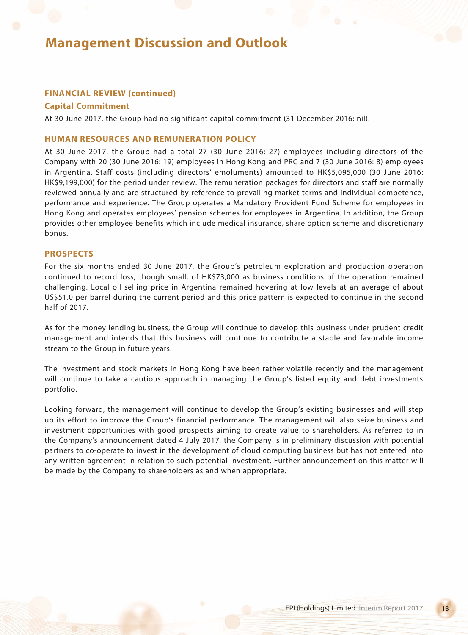## **FINANCIAL REVIEW (continued)**

### **Capital Commitment**

At 30 June 2017, the Group had no significant capital commitment (31 December 2016: nil).

### **HUMAN RESOURCES AND REMUNERATION POLICY**

At 30 June 2017, the Group had a total 27 (30 June 2016: 27) employees including directors of the Company with 20 (30 June 2016: 19) employees in Hong Kong and PRC and 7 (30 June 2016: 8) employees in Argentina. Staff costs (including directors' emoluments) amounted to HK\$5,095,000 (30 June 2016: HK\$9,199,000) for the period under review. The remuneration packages for directors and staff are normally reviewed annually and are structured by reference to prevailing market terms and individual competence, performance and experience. The Group operates a Mandatory Provident Fund Scheme for employees in Hong Kong and operates employees' pension schemes for employees in Argentina. In addition, the Group provides other employee benefits which include medical insurance, share option scheme and discretionary bonus.

### **PROSPECTS**

For the six months ended 30 June 2017, the Group's petroleum exploration and production operation continued to record loss, though small, of HK\$73,000 as business conditions of the operation remained challenging. Local oil selling price in Argentina remained hovering at low levels at an average of about US\$51.0 per barrel during the current period and this price pattern is expected to continue in the second half of 2017.

As for the money lending business, the Group will continue to develop this business under prudent credit management and intends that this business will continue to contribute a stable and favorable income stream to the Group in future years.

The investment and stock markets in Hong Kong have been rather volatile recently and the management will continue to take a cautious approach in managing the Group's listed equity and debt investments portfolio.

Looking forward, the management will continue to develop the Group's existing businesses and will step up its effort to improve the Group's financial performance. The management will also seize business and investment opportunities with good prospects aiming to create value to shareholders. As referred to in the Company's announcement dated 4 July 2017, the Company is in preliminary discussion with potential partners to co-operate to invest in the development of cloud computing business but has not entered into any written agreement in relation to such potential investment. Further announcement on this matter will be made by the Company to shareholders as and when appropriate.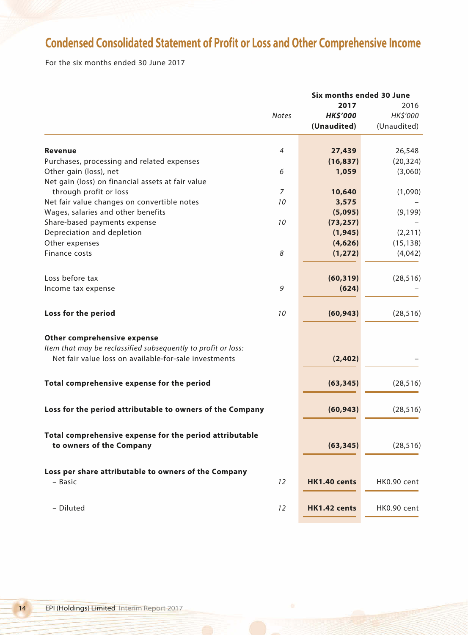## **Condensed Consolidated Statement of Profit or Loss and Other Comprehensive Income**

For the six months ended 30 June 2017

|                                                                                     |                | 2017            | 2016        |  |
|-------------------------------------------------------------------------------------|----------------|-----------------|-------------|--|
|                                                                                     | <b>Notes</b>   | <b>HK\$'000</b> | HK\$'000    |  |
|                                                                                     |                | (Unaudited)     | (Unaudited) |  |
|                                                                                     |                |                 |             |  |
| <b>Revenue</b>                                                                      | $\overline{4}$ | 27,439          | 26,548      |  |
| Purchases, processing and related expenses                                          |                | (16, 837)       | (20, 324)   |  |
| Other gain (loss), net                                                              | 6              | 1,059           | (3,060)     |  |
| Net gain (loss) on financial assets at fair value                                   |                |                 |             |  |
| through profit or loss                                                              | $\overline{7}$ | 10,640          | (1,090)     |  |
| Net fair value changes on convertible notes                                         | 10             | 3,575           |             |  |
| Wages, salaries and other benefits                                                  |                | (5,095)         | (9, 199)    |  |
| Share-based payments expense                                                        | 10             | (73, 257)       |             |  |
| Depreciation and depletion                                                          |                | (1, 945)        | (2, 211)    |  |
| Other expenses                                                                      |                | (4,626)         | (15, 138)   |  |
| Finance costs                                                                       | 8              | (1, 272)        | (4,042)     |  |
|                                                                                     |                |                 |             |  |
| Loss before tax                                                                     |                | (60, 319)       | (28, 516)   |  |
| Income tax expense                                                                  | 9              | (624)           |             |  |
| Loss for the period                                                                 | 10             | (60, 943)       | (28, 516)   |  |
| Other comprehensive expense                                                         |                |                 |             |  |
| Item that may be reclassified subsequently to profit or loss:                       |                |                 |             |  |
| Net fair value loss on available-for-sale investments                               |                | (2, 402)        |             |  |
| Total comprehensive expense for the period                                          |                | (63, 345)       | (28, 516)   |  |
|                                                                                     |                |                 |             |  |
| Loss for the period attributable to owners of the Company                           |                | (60, 943)       | (28, 516)   |  |
|                                                                                     |                |                 |             |  |
| Total comprehensive expense for the period attributable<br>to owners of the Company |                | (63, 345)       |             |  |
|                                                                                     |                |                 | (28, 516)   |  |
| Loss per share attributable to owners of the Company                                |                |                 |             |  |
| - Basic                                                                             | 12             | HK1.40 cents    | HK0.90 cent |  |
|                                                                                     |                |                 |             |  |
| - Diluted                                                                           | 12             | HK1.42 cents    | HK0.90 cent |  |
|                                                                                     |                |                 |             |  |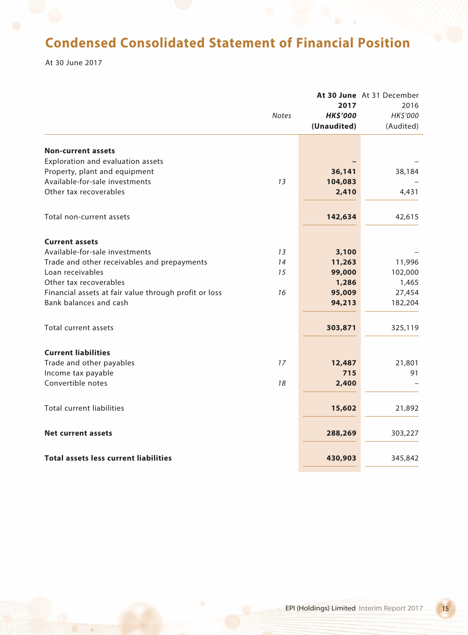## **Condensed Consolidated Statement of Financial Position**

At 30 June 2017

|                                                       |              |                 | At 30 June At 31 December |
|-------------------------------------------------------|--------------|-----------------|---------------------------|
|                                                       |              | 2017            | 2016                      |
|                                                       | <b>Notes</b> | <b>HK\$'000</b> | HK\$'000                  |
|                                                       |              | (Unaudited)     | (Audited)                 |
|                                                       |              |                 |                           |
| <b>Non-current assets</b>                             |              |                 |                           |
| Exploration and evaluation assets                     |              |                 |                           |
| Property, plant and equipment                         |              | 36,141          | 38,184                    |
| Available-for-sale investments                        | 13           | 104,083         |                           |
| Other tax recoverables                                |              | 2,410           | 4,431                     |
| Total non-current assets                              |              | 142,634         | 42,615                    |
|                                                       |              |                 |                           |
| <b>Current assets</b>                                 |              |                 |                           |
| Available-for-sale investments                        | 13           | 3,100           |                           |
| Trade and other receivables and prepayments           | 14           | 11,263          | 11,996                    |
| Loan receivables                                      | 15           | 99,000          | 102,000                   |
| Other tax recoverables                                |              | 1,286           | 1,465                     |
| Financial assets at fair value through profit or loss | 16           | 95,009          | 27,454                    |
| Bank balances and cash                                |              | 94,213          | 182,204                   |
|                                                       |              |                 |                           |
| Total current assets                                  |              | 303,871         | 325,119                   |
|                                                       |              |                 |                           |
| <b>Current liabilities</b>                            |              |                 |                           |
| Trade and other payables                              | 17           | 12,487          | 21,801                    |
| Income tax payable                                    |              | 715             | 91                        |
| Convertible notes                                     | 18           | 2,400           |                           |
| <b>Total current liabilities</b>                      |              | 15,602          | 21,892                    |
|                                                       |              |                 |                           |
| <b>Net current assets</b>                             |              | 288,269         | 303,227                   |
|                                                       |              |                 |                           |
| <b>Total assets less current liabilities</b>          |              | 430,903         | 345,842                   |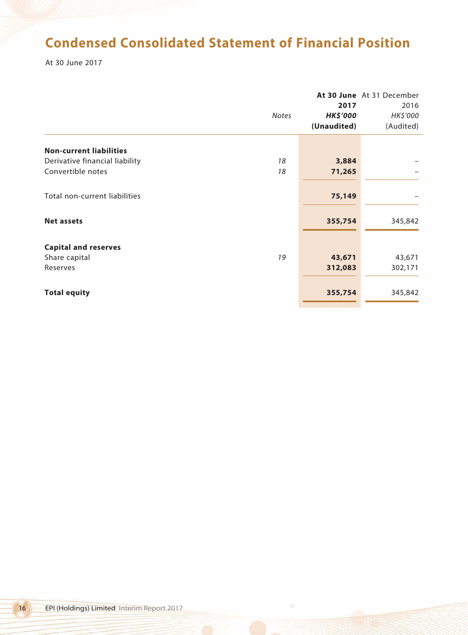## **Condensed Consolidated Statement of Financial Position**

At 30 June 2017

|                                |              |                 | At 30 June At 31 December |
|--------------------------------|--------------|-----------------|---------------------------|
|                                |              | 2017            | 2016                      |
|                                | <b>Notes</b> | <b>HK\$'000</b> | HK\$'000                  |
|                                |              | (Unaudited)     | (Audited)                 |
| <b>Non-current liabilities</b> |              |                 |                           |
| Derivative financial liability | 18           | 3,884           |                           |
| Convertible notes              | 18           | 71,265          |                           |
| Total non-current liabilities  |              | 75,149          |                           |
| <b>Net assets</b>              |              | 355,754         | 345,842                   |
| <b>Capital and reserves</b>    |              |                 |                           |
| Share capital                  | 19           | 43,671          | 43,671                    |
| Reserves                       |              | 312,083         | 302,171                   |
| <b>Total equity</b>            |              | 355,754         | 345,842                   |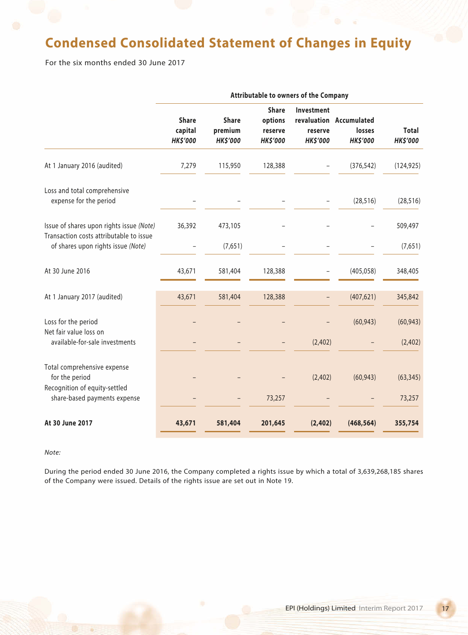## **Condensed Consolidated Statement of Changes in Equity**

For the six months ended 30 June 2017

|                                                                                     |                                            |                                            |                                                       | Attributable to owners of the Company    |                                                      |                                 |
|-------------------------------------------------------------------------------------|--------------------------------------------|--------------------------------------------|-------------------------------------------------------|------------------------------------------|------------------------------------------------------|---------------------------------|
|                                                                                     | <b>Share</b><br>capital<br><b>HK\$'000</b> | <b>Share</b><br>premium<br><b>HK\$'000</b> | <b>Share</b><br>options<br>reserve<br><b>HK\$'000</b> | Investment<br>reserve<br><b>HK\$'000</b> | revaluation Accumulated<br>losses<br><b>HK\$'000</b> | <b>Total</b><br><b>HK\$'000</b> |
| At 1 January 2016 (audited)                                                         | 7,279                                      | 115,950                                    | 128,388                                               |                                          | (376, 542)                                           | (124, 925)                      |
| Loss and total comprehensive<br>expense for the period                              |                                            |                                            |                                                       |                                          | (28, 516)                                            | (28, 516)                       |
| Issue of shares upon rights issue (Note)<br>Transaction costs attributable to issue | 36,392                                     | 473,105                                    |                                                       |                                          |                                                      | 509,497                         |
| of shares upon rights issue (Note)                                                  |                                            | (7,651)                                    |                                                       |                                          |                                                      | (7,651)                         |
| At 30 June 2016                                                                     | 43,671                                     | 581,404                                    | 128,388                                               |                                          | (405, 058)                                           | 348,405                         |
| At 1 January 2017 (audited)                                                         | 43,671                                     | 581,404                                    | 128,388                                               |                                          | (407, 621)                                           | 345,842                         |
| Loss for the period<br>Net fair value loss on                                       |                                            |                                            |                                                       |                                          | (60, 943)                                            | (60, 943)                       |
| available-for-sale investments                                                      |                                            |                                            |                                                       | (2,402)                                  |                                                      | (2,402)                         |
| Total comprehensive expense<br>for the period<br>Recognition of equity-settled      |                                            |                                            |                                                       | (2,402)                                  | (60, 943)                                            | (63, 345)                       |
| share-based payments expense                                                        |                                            |                                            | 73,257                                                |                                          |                                                      | 73,257                          |
| At 30 June 2017                                                                     | 43,671                                     | 581,404                                    | 201,645                                               | (2, 402)                                 | (468, 564)                                           | 355,754                         |

#### *Note:*

During the period ended 30 June 2016, the Company completed a rights issue by which a total of 3,639,268,185 shares of the Company were issued. Details of the rights issue are set out in Note 19.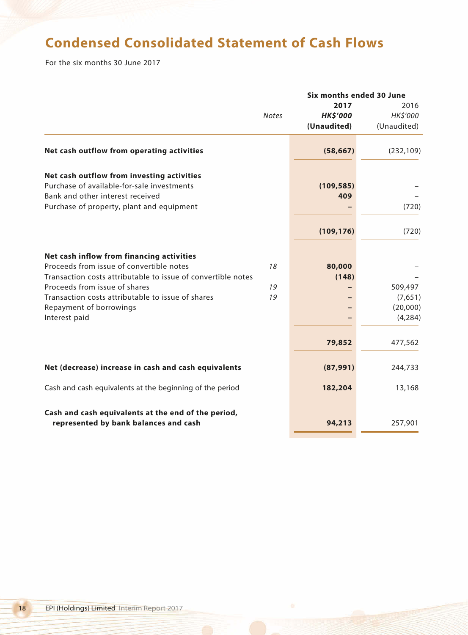## **Condensed Consolidated Statement of Cash Flows**

For the six months 30 June 2017

|                                                              | Six months ended 30 June |                 |             |
|--------------------------------------------------------------|--------------------------|-----------------|-------------|
|                                                              |                          | 2017            | 2016        |
|                                                              | <b>Notes</b>             | <b>HK\$'000</b> | HK\$'000    |
|                                                              |                          | (Unaudited)     | (Unaudited) |
| Net cash outflow from operating activities                   |                          | (58, 667)       | (232, 109)  |
| Net cash outflow from investing activities                   |                          |                 |             |
| Purchase of available-for-sale investments                   |                          | (109, 585)      |             |
| Bank and other interest received                             |                          | 409             |             |
| Purchase of property, plant and equipment                    |                          |                 | (720)       |
|                                                              |                          | (109, 176)      | (720)       |
|                                                              |                          |                 |             |
| Net cash inflow from financing activities                    |                          |                 |             |
| Proceeds from issue of convertible notes                     | 18                       | 80,000          |             |
| Transaction costs attributable to issue of convertible notes |                          | (148)           |             |
| Proceeds from issue of shares                                | 19                       |                 | 509,497     |
| Transaction costs attributable to issue of shares            | 19                       |                 | (7,651)     |
| Repayment of borrowings                                      |                          |                 | (20,000)    |
| Interest paid                                                |                          |                 | (4, 284)    |
|                                                              |                          | 79,852          | 477,562     |
| Net (decrease) increase in cash and cash equivalents         |                          | (87, 991)       | 244,733     |
|                                                              |                          |                 |             |
| Cash and cash equivalents at the beginning of the period     |                          | 182,204         | 13,168      |
| Cash and cash equivalents at the end of the period,          |                          |                 |             |
| represented by bank balances and cash                        |                          | 94,213          | 257,901     |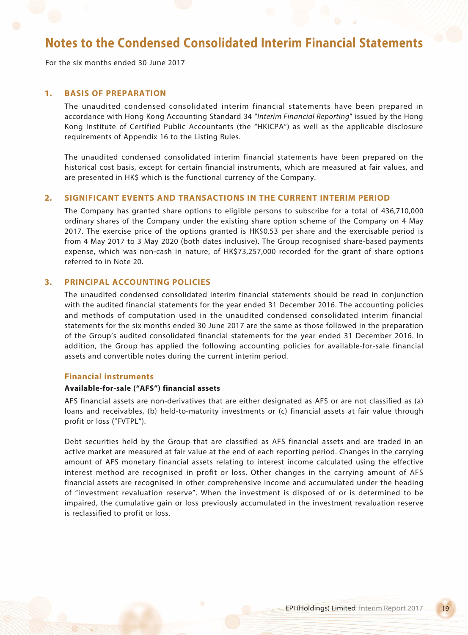For the six months ended 30 June 2017

## **1. BASIS OF PREPARATION**

The unaudited condensed consolidated interim financial statements have been prepared in accordance with Hong Kong Accounting Standard 34 "*Interim Financial Reporting*" issued by the Hong Kong Institute of Certified Public Accountants (the "HKICPA") as well as the applicable disclosure requirements of Appendix 16 to the Listing Rules.

The unaudited condensed consolidated interim financial statements have been prepared on the historical cost basis, except for certain financial instruments, which are measured at fair values, and are presented in HK\$ which is the functional currency of the Company.

## **2. SIGNIFICANT EVENTS AND TRANSACTIONS IN THE CURRENT INTERIM PERIOD**

The Company has granted share options to eligible persons to subscribe for a total of 436,710,000 ordinary shares of the Company under the existing share option scheme of the Company on 4 May 2017. The exercise price of the options granted is HK\$0.53 per share and the exercisable period is from 4 May 2017 to 3 May 2020 (both dates inclusive). The Group recognised share-based payments expense, which was non-cash in nature, of HK\$73,257,000 recorded for the grant of share options referred to in Note 20.

## **3. PRINCIPAL ACCOUNTING POLICIES**

The unaudited condensed consolidated interim financial statements should be read in conjunction with the audited financial statements for the year ended 31 December 2016. The accounting policies and methods of computation used in the unaudited condensed consolidated interim financial statements for the six months ended 30 June 2017 are the same as those followed in the preparation of the Group's audited consolidated financial statements for the year ended 31 December 2016. In addition, the Group has applied the following accounting policies for available-for-sale financial assets and convertible notes during the current interim period.

#### **Financial instruments**

### **Available-for-sale ("AFS") financial assets**

AFS financial assets are non-derivatives that are either designated as AFS or are not classified as (a) loans and receivables, (b) held-to-maturity investments or (c) financial assets at fair value through profit or loss ("FVTPL").

Debt securities held by the Group that are classified as AFS financial assets and are traded in an active market are measured at fair value at the end of each reporting period. Changes in the carrying amount of AFS monetary financial assets relating to interest income calculated using the effective interest method are recognised in profit or loss. Other changes in the carrying amount of AFS financial assets are recognised in other comprehensive income and accumulated under the heading of "investment revaluation reserve". When the investment is disposed of or is determined to be impaired, the cumulative gain or loss previously accumulated in the investment revaluation reserve is reclassified to profit or loss.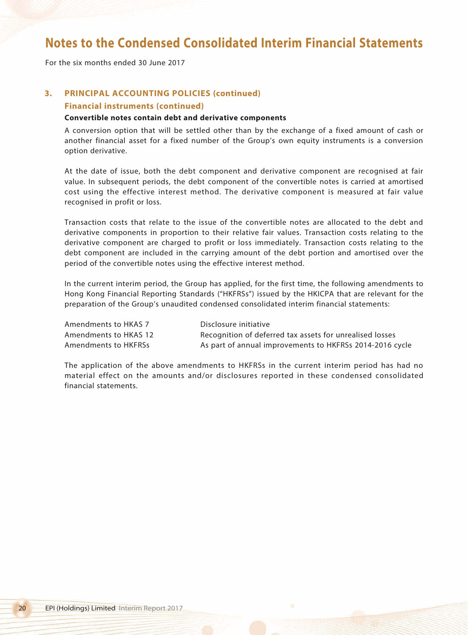For the six months ended 30 June 2017

## **3. PRINCIPAL ACCOUNTING POLICIES (continued)**

### **Financial instruments (continued)**

#### **Convertible notes contain debt and derivative components**

A conversion option that will be settled other than by the exchange of a fixed amount of cash or another financial asset for a fixed number of the Group's own equity instruments is a conversion option derivative.

At the date of issue, both the debt component and derivative component are recognised at fair value. In subsequent periods, the debt component of the convertible notes is carried at amortised cost using the effective interest method. The derivative component is measured at fair value recognised in profit or loss.

Transaction costs that relate to the issue of the convertible notes are allocated to the debt and derivative components in proportion to their relative fair values. Transaction costs relating to the derivative component are charged to profit or loss immediately. Transaction costs relating to the debt component are included in the carrying amount of the debt portion and amortised over the period of the convertible notes using the effective interest method.

In the current interim period, the Group has applied, for the first time, the following amendments to Hong Kong Financial Reporting Standards ("HKFRSs") issued by the HKICPA that are relevant for the preparation of the Group's unaudited condensed consolidated interim financial statements:

| Amendments to HKAS 7  | Disclosure initiative                                    |
|-----------------------|----------------------------------------------------------|
| Amendments to HKAS 12 | Recognition of deferred tax assets for unrealised losses |
| Amendments to HKFRSs  | As part of annual improvements to HKFRSs 2014-2016 cycle |

The application of the above amendments to HKFRSs in the current interim period has had no material effect on the amounts and/or disclosures reported in these condensed consolidated financial statements.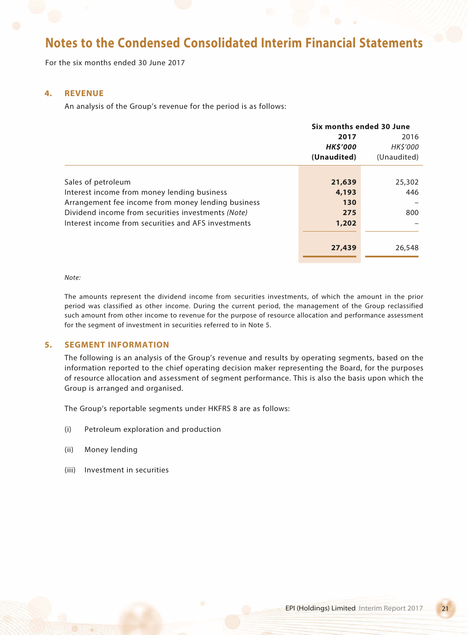For the six months ended 30 June 2017

### **4. REVENUE**

An analysis of the Group's revenue for the period is as follows:

|                                                     | Six months ended 30 June |                 |
|-----------------------------------------------------|--------------------------|-----------------|
|                                                     | 2017                     | 2016            |
|                                                     | <b>HKS'000</b>           | <b>HK\$'000</b> |
|                                                     | (Unaudited)              | (Unaudited)     |
|                                                     |                          |                 |
| Sales of petroleum                                  | 21,639                   | 25,302          |
| Interest income from money lending business         | 4,193                    | 446             |
| Arrangement fee income from money lending business  | 130                      |                 |
| Dividend income from securities investments (Note)  | 275                      | 800             |
| Interest income from securities and AFS investments | 1,202                    |                 |
|                                                     |                          |                 |
|                                                     | 27,439                   | 26,548          |

*Note:*

The amounts represent the dividend income from securities investments, of which the amount in the prior period was classified as other income. During the current period, the management of the Group reclassified such amount from other income to revenue for the purpose of resource allocation and performance assessment for the segment of investment in securities referred to in Note 5.

### **5. SEGMENT INFORMATION**

The following is an analysis of the Group's revenue and results by operating segments, based on the information reported to the chief operating decision maker representing the Board, for the purposes of resource allocation and assessment of segment performance. This is also the basis upon which the Group is arranged and organised.

The Group's reportable segments under HKFRS 8 are as follows:

- (i) Petroleum exploration and production
- (ii) Money lending
- (iii) Investment in securities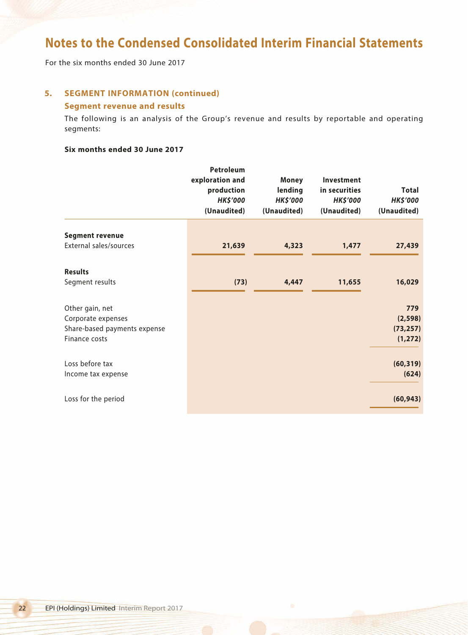For the six months ended 30 June 2017

## **5. SEGMENT INFORMATION (continued) Segment revenue and results**

The following is an analysis of the Group's revenue and results by reportable and operating segments:

### **Six months ended 30 June 2017**

|                              | Petroleum<br>exploration and<br>production<br><b>HK\$'000</b><br>(Unaudited) | <b>Money</b><br>lending<br><b>HK\$'000</b><br>(Unaudited) | Investment<br>in securities<br><b>HK\$'000</b><br>(Unaudited) | <b>Total</b><br><b>HK\$'000</b><br>(Unaudited) |
|------------------------------|------------------------------------------------------------------------------|-----------------------------------------------------------|---------------------------------------------------------------|------------------------------------------------|
|                              |                                                                              |                                                           |                                                               |                                                |
| <b>Segment revenue</b>       |                                                                              |                                                           |                                                               |                                                |
| External sales/sources       | 21,639                                                                       | 4,323                                                     | 1,477                                                         | 27,439                                         |
|                              |                                                                              |                                                           |                                                               |                                                |
| <b>Results</b>               |                                                                              |                                                           |                                                               |                                                |
| Segment results              | (73)                                                                         | 4,447                                                     | 11,655                                                        | 16,029                                         |
| Other gain, net              |                                                                              |                                                           |                                                               | 779                                            |
| Corporate expenses           |                                                                              |                                                           |                                                               | (2, 598)                                       |
| Share-based payments expense |                                                                              |                                                           |                                                               | (73, 257)                                      |
| Finance costs                |                                                                              |                                                           |                                                               | (1, 272)                                       |
|                              |                                                                              |                                                           |                                                               |                                                |
| Loss before tax              |                                                                              |                                                           |                                                               | (60, 319)                                      |
| Income tax expense           |                                                                              |                                                           |                                                               | (624)                                          |
| Loss for the period          |                                                                              |                                                           |                                                               | (60, 943)                                      |
|                              |                                                                              |                                                           |                                                               |                                                |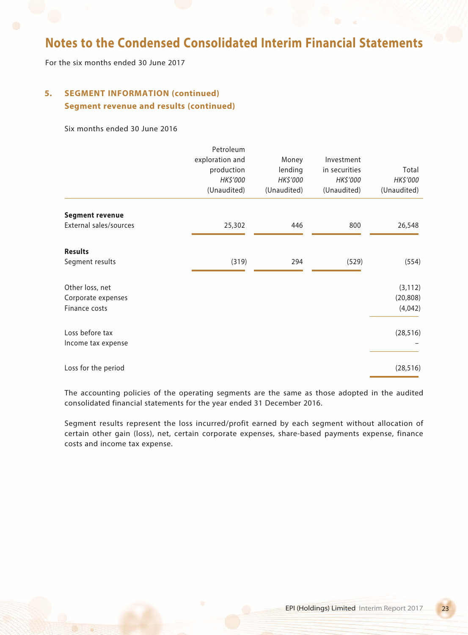For the six months ended 30 June 2017

## **5. SEGMENT INFORMATION (continued) Segment revenue and results (continued)**

Six months ended 30 June 2016

|                        | Petroleum<br>exploration and<br>production<br>HK\$'000<br>(Unaudited) | Money<br>lending<br>HK\$'000<br>(Unaudited) | Investment<br>in securities<br>HK\$'000<br>(Unaudited) | Total<br>HK\$'000<br>(Unaudited) |
|------------------------|-----------------------------------------------------------------------|---------------------------------------------|--------------------------------------------------------|----------------------------------|
| <b>Segment revenue</b> |                                                                       |                                             |                                                        |                                  |
| External sales/sources | 25,302                                                                | 446                                         | 800                                                    | 26,548                           |
| <b>Results</b>         |                                                                       |                                             |                                                        |                                  |
| Segment results        | (319)                                                                 | 294                                         | (529)                                                  | (554)                            |
| Other loss, net        |                                                                       |                                             |                                                        | (3, 112)                         |
| Corporate expenses     |                                                                       |                                             |                                                        | (20, 808)                        |
| Finance costs          |                                                                       |                                             |                                                        | (4,042)                          |
| Loss before tax        |                                                                       |                                             |                                                        | (28, 516)                        |
| Income tax expense     |                                                                       |                                             |                                                        |                                  |
| Loss for the period    |                                                                       |                                             |                                                        | (28, 516)                        |

The accounting policies of the operating segments are the same as those adopted in the audited consolidated financial statements for the year ended 31 December 2016.

Segment results represent the loss incurred/profit earned by each segment without allocation of certain other gain (loss), net, certain corporate expenses, share-based payments expense, finance costs and income tax expense.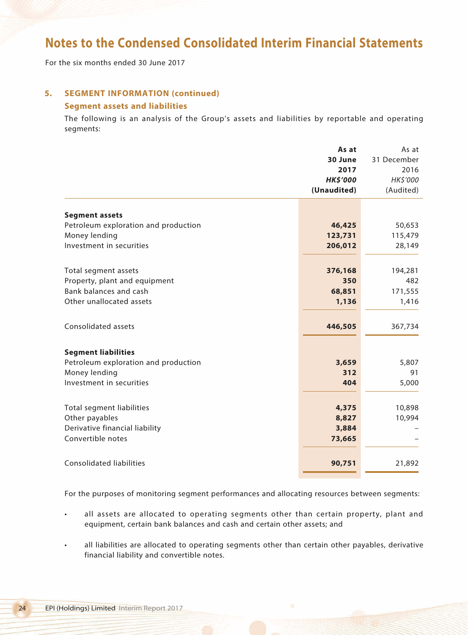For the six months ended 30 June 2017

## **5. SEGMENT INFORMATION (continued)**

## **Segment assets and liabilities**

The following is an analysis of the Group's assets and liabilities by reportable and operating segments:

|                                      | As at           | As at       |
|--------------------------------------|-----------------|-------------|
|                                      | 30 June         | 31 December |
|                                      | 2017            | 2016        |
|                                      | <b>HK\$'000</b> | HK\$'000    |
|                                      | (Unaudited)     | (Audited)   |
| <b>Segment assets</b>                |                 |             |
| Petroleum exploration and production | 46,425          | 50,653      |
| Money lending                        | 123,731         | 115,479     |
| Investment in securities             | 206,012         | 28,149      |
|                                      |                 |             |
| Total segment assets                 | 376,168         | 194,281     |
| Property, plant and equipment        | 350             | 482         |
| Bank balances and cash               | 68,851          | 171,555     |
| Other unallocated assets             | 1,136           | 1,416       |
|                                      |                 |             |
| Consolidated assets                  | 446,505         | 367,734     |
|                                      |                 |             |
| <b>Segment liabilities</b>           |                 |             |
| Petroleum exploration and production | 3,659           | 5,807       |
| Money lending                        | 312             | 91          |
| Investment in securities             | 404             | 5,000       |
|                                      |                 |             |
| Total segment liabilities            | 4,375           | 10,898      |
| Other payables                       | 8,827           | 10,994      |
| Derivative financial liability       | 3,884           |             |
| Convertible notes                    | 73,665          |             |
|                                      |                 |             |
| <b>Consolidated liabilities</b>      | 90,751          | 21,892      |
|                                      |                 |             |

For the purposes of monitoring segment performances and allocating resources between segments:

- all assets are allocated to operating segments other than certain property, plant and equipment, certain bank balances and cash and certain other assets; and
- all liabilities are allocated to operating segments other than certain other payables, derivative financial liability and convertible notes.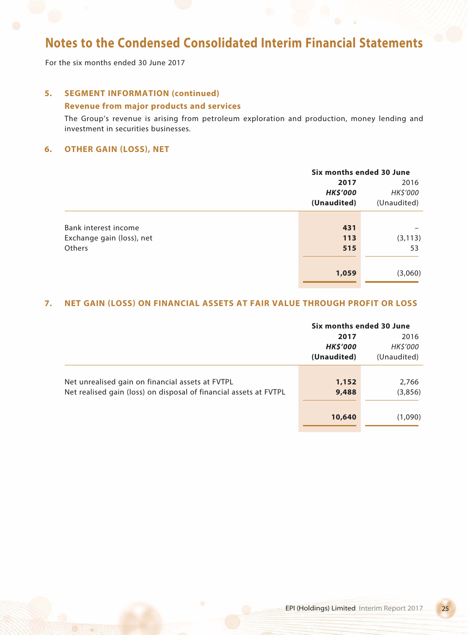For the six months ended 30 June 2017

## **5. SEGMENT INFORMATION (continued)**

## **Revenue from major products and services**

The Group's revenue is arising from petroleum exploration and production, money lending and investment in securities businesses.

## **6. OTHER GAIN (LOSS), NET**

|                           |                 | Six months ended 30 June |  |
|---------------------------|-----------------|--------------------------|--|
|                           | 2017            | 2016                     |  |
|                           | <b>HK\$'000</b> | HK\$'000                 |  |
|                           | (Unaudited)     | (Unaudited)              |  |
|                           |                 |                          |  |
| Bank interest income      | 431             |                          |  |
| Exchange gain (loss), net | 113             | (3, 113)                 |  |
| Others                    | 515             | 53                       |  |
|                           |                 |                          |  |
|                           | 1,059           | (3,060)                  |  |
|                           |                 |                          |  |

## **7. NET GAIN (LOSS) ON FINANCIAL ASSETS AT FAIR VALUE THROUGH PROFIT OR LOSS**

|                                                                   | Six months ended 30 June |             |
|-------------------------------------------------------------------|--------------------------|-------------|
|                                                                   | 2017                     | 2016        |
|                                                                   | <b>HK\$'000</b>          | HK\$'000    |
|                                                                   | (Unaudited)              | (Unaudited) |
|                                                                   |                          |             |
| Net unrealised gain on financial assets at FVTPL                  | 1,152                    | 2,766       |
| Net realised gain (loss) on disposal of financial assets at FVTPL | 9,488                    | (3,856)     |
|                                                                   |                          |             |
|                                                                   | 10,640                   | (1,090)     |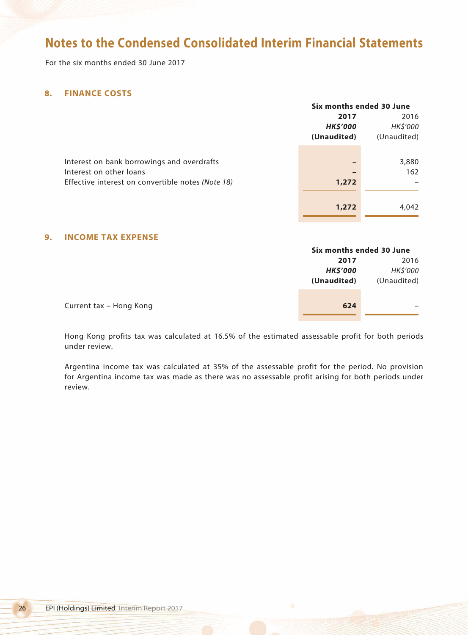For the six months ended 30 June 2017

## **8. FINANCE COSTS**

|                                                   |                 | Six months ended 30 June |  |
|---------------------------------------------------|-----------------|--------------------------|--|
|                                                   | 2017            | 2016                     |  |
|                                                   | <b>HK\$'000</b> | HK\$'000                 |  |
|                                                   | (Unaudited)     | (Unaudited)              |  |
|                                                   |                 |                          |  |
| Interest on bank borrowings and overdrafts        |                 | 3,880                    |  |
| Interest on other loans                           |                 | 162                      |  |
| Effective interest on convertible notes (Note 18) | 1,272           |                          |  |
|                                                   |                 |                          |  |
|                                                   | 1,272           | 4,042                    |  |

## **9. INCOME TAX EXPENSE**

|                         | Six months ended 30 June |             |
|-------------------------|--------------------------|-------------|
|                         | 2017                     | 2016        |
|                         | <b>HK\$'000</b>          | HK\$'000    |
|                         | (Unaudited)              | (Unaudited) |
|                         |                          |             |
| Current tax – Hong Kong | 624                      |             |
|                         |                          |             |

Hong Kong profits tax was calculated at 16.5% of the estimated assessable profit for both periods under review.

Argentina income tax was calculated at 35% of the assessable profit for the period. No provision for Argentina income tax was made as there was no assessable profit arising for both periods under review.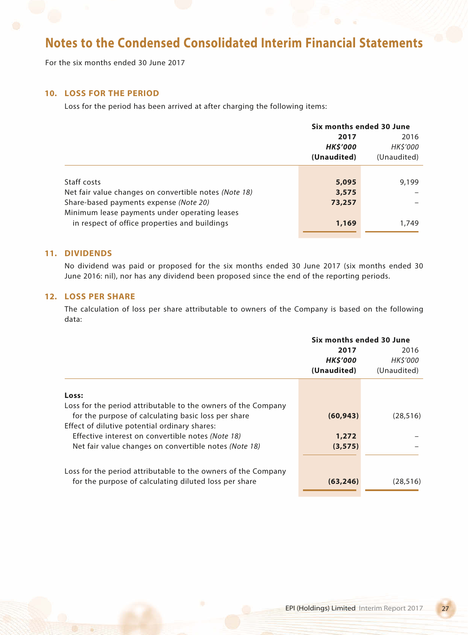For the six months ended 30 June 2017

## **10. LOSS FOR THE PERIOD**

Loss for the period has been arrived at after charging the following items:

|                                                       |                | Six months ended 30 June |  |
|-------------------------------------------------------|----------------|--------------------------|--|
|                                                       | 2017           | 2016                     |  |
|                                                       | <b>HKS'000</b> | HK\$'000                 |  |
|                                                       | (Unaudited)    | (Unaudited)              |  |
|                                                       |                |                          |  |
| Staff costs                                           | 5,095          | 9,199                    |  |
| Net fair value changes on convertible notes (Note 18) | 3,575          |                          |  |
| Share-based payments expense (Note 20)                | 73,257         |                          |  |
| Minimum lease payments under operating leases         |                |                          |  |
| in respect of office properties and buildings         | 1,169          | 1,749                    |  |
|                                                       |                |                          |  |

### **11. DIVIDENDS**

No dividend was paid or proposed for the six months ended 30 June 2017 (six months ended 30 June 2016: nil), nor has any dividend been proposed since the end of the reporting periods.

## **12. LOSS PER SHARE**

The calculation of loss per share attributable to owners of the Company is based on the following data:

|                                                               | Six months ended 30 June               |                                        |
|---------------------------------------------------------------|----------------------------------------|----------------------------------------|
|                                                               | 2017<br><b>HK\$'000</b><br>(Unaudited) | 2016<br><b>HK\$'000</b><br>(Unaudited) |
| Loss:                                                         |                                        |                                        |
| Loss for the period attributable to the owners of the Company |                                        |                                        |
| for the purpose of calculating basic loss per share           | (60, 943)                              | (28, 516)                              |
| Effect of dilutive potential ordinary shares:                 |                                        |                                        |
|                                                               |                                        |                                        |
| Effective interest on convertible notes (Note 18)             | 1,272                                  |                                        |
| Net fair value changes on convertible notes (Note 18)         | (3, 575)                               |                                        |
|                                                               |                                        |                                        |
| Loss for the period attributable to the owners of the Company |                                        |                                        |
| for the purpose of calculating diluted loss per share         | (63, 246)                              | (28.516)                               |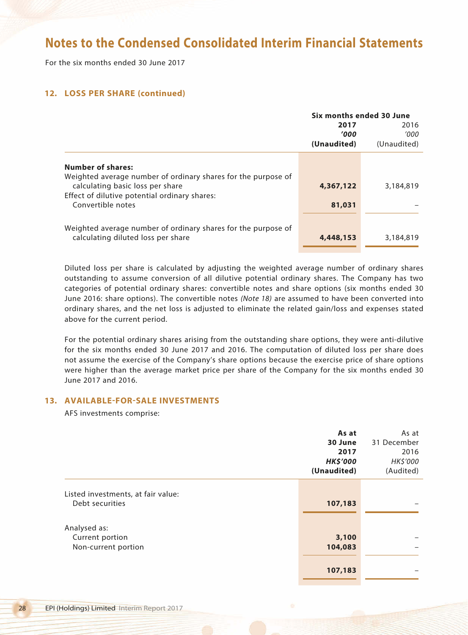For the six months ended 30 June 2017

## **12. LOSS PER SHARE (continued)**

|                                                               | Six months ended 30 June |             |
|---------------------------------------------------------------|--------------------------|-------------|
|                                                               | 2017                     | 2016        |
|                                                               | '000'                    | '000'       |
|                                                               | (Unaudited)              | (Unaudited) |
|                                                               |                          |             |
| <b>Number of shares:</b>                                      |                          |             |
| Weighted average number of ordinary shares for the purpose of |                          |             |
| calculating basic loss per share                              | 4,367,122                | 3,184,819   |
| Effect of dilutive potential ordinary shares:                 |                          |             |
| Convertible notes                                             | 81,031                   |             |
|                                                               |                          |             |
| Weighted average number of ordinary shares for the purpose of |                          |             |
| calculating diluted loss per share                            | 4,448,153                | 3,184,819   |
|                                                               |                          |             |

Diluted loss per share is calculated by adjusting the weighted average number of ordinary shares outstanding to assume conversion of all dilutive potential ordinary shares. The Company has two categories of potential ordinary shares: convertible notes and share options (six months ended 30 June 2016: share options). The convertible notes *(Note 18)* are assumed to have been converted into ordinary shares, and the net loss is adjusted to eliminate the related gain/loss and expenses stated above for the current period.

For the potential ordinary shares arising from the outstanding share options, they were anti-dilutive for the six months ended 30 June 2017 and 2016. The computation of diluted loss per share does not assume the exercise of the Company's share options because the exercise price of share options were higher than the average market price per share of the Company for the six months ended 30 June 2017 and 2016.

## **13. AVAILABLE-FOR-SALE INVESTMENTS**

AFS investments comprise:

|                                    | As at           | As at       |
|------------------------------------|-----------------|-------------|
|                                    | 30 June         | 31 December |
|                                    | 2017            | 2016        |
|                                    | <b>HK\$'000</b> | HK\$'000    |
|                                    | (Unaudited)     | (Audited)   |
|                                    |                 |             |
| Listed investments, at fair value: |                 |             |
| Debt securities                    | 107,183         |             |
|                                    |                 |             |
| Analysed as:                       |                 |             |
| Current portion                    | 3,100           |             |
| Non-current portion                | 104,083         |             |
|                                    |                 |             |
|                                    | 107,183         |             |
|                                    |                 |             |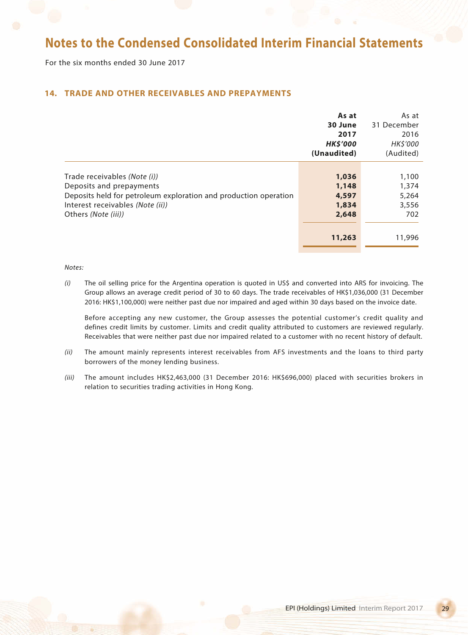For the six months ended 30 June 2017

## **14. TRADE AND OTHER RECEIVABLES AND PREPAYMENTS**

|                                                                  | As at          | As at           |
|------------------------------------------------------------------|----------------|-----------------|
|                                                                  | 30 June        | 31 December     |
|                                                                  | 2017           | 2016            |
|                                                                  | <b>HKS'000</b> | <b>HK\$'000</b> |
|                                                                  | (Unaudited)    | (Audited)       |
|                                                                  |                |                 |
| Trade receivables (Note (i))                                     | 1,036          | 1,100           |
| Deposits and prepayments                                         | 1,148          | 1,374           |
| Deposits held for petroleum exploration and production operation | 4,597          | 5,264           |
| Interest receivables (Note (ii))                                 | 1,834          | 3,556           |
| Others (Note (iii))                                              | 2,648          | 702             |
|                                                                  |                |                 |
|                                                                  | 11,263         | 11,996          |

#### *Notes:*

*(i)* The oil selling price for the Argentina operation is quoted in US\$ and converted into ARS for invoicing. The Group allows an average credit period of 30 to 60 days. The trade receivables of HK\$1,036,000 (31 December 2016: HK\$1,100,000) were neither past due nor impaired and aged within 30 days based on the invoice date.

Before accepting any new customer, the Group assesses the potential customer's credit quality and defines credit limits by customer. Limits and credit quality attributed to customers are reviewed regularly. Receivables that were neither past due nor impaired related to a customer with no recent history of default.

- *(ii)* The amount mainly represents interest receivables from AFS investments and the loans to third party borrowers of the money lending business.
- *(iii)* The amount includes HK\$2,463,000 (31 December 2016: HK\$696,000) placed with securities brokers in relation to securities trading activities in Hong Kong.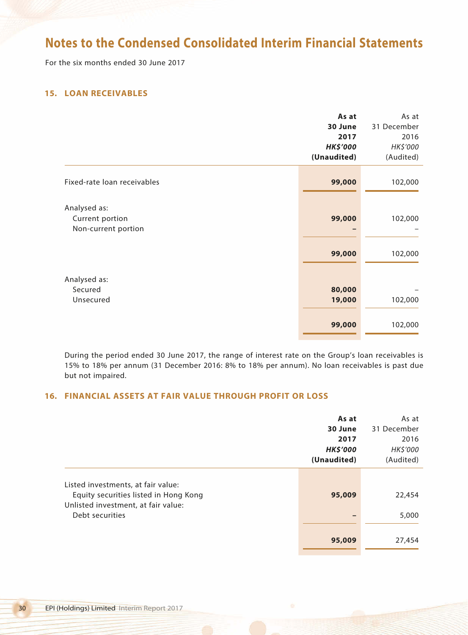For the six months ended 30 June 2017

## **15. LOAN RECEIVABLES**

|                             | As at           | As at       |
|-----------------------------|-----------------|-------------|
|                             | 30 June         | 31 December |
|                             | 2017            | 2016        |
|                             | <b>HK\$'000</b> | HK\$'000    |
|                             | (Unaudited)     | (Audited)   |
|                             |                 |             |
| Fixed-rate loan receivables | 99,000          | 102,000     |
|                             |                 |             |
| Analysed as:                |                 |             |
| Current portion             | 99,000          | 102,000     |
| Non-current portion         |                 |             |
|                             |                 |             |
|                             | 99,000          | 102,000     |
|                             |                 |             |
| Analysed as:<br>Secured     | 80,000          |             |
|                             |                 |             |
| Unsecured                   | 19,000          | 102,000     |
|                             | 99,000          | 102,000     |
|                             |                 |             |

During the period ended 30 June 2017, the range of interest rate on the Group's loan receivables is 15% to 18% per annum (31 December 2016: 8% to 18% per annum). No loan receivables is past due but not impaired.

## **16. FINANCIAL ASSETS AT FAIR VALUE THROUGH PROFIT OR LOSS**

|                                                                                                                                       | As at<br>30 June<br>2017<br><b>HK\$'000</b><br>(Unaudited) | As at<br>31 December<br>2016<br>HK\$'000<br>(Audited) |
|---------------------------------------------------------------------------------------------------------------------------------------|------------------------------------------------------------|-------------------------------------------------------|
| Listed investments, at fair value:<br>Equity securities listed in Hong Kong<br>Unlisted investment, at fair value:<br>Debt securities | 95,009                                                     | 22,454<br>5,000                                       |
|                                                                                                                                       | 95,009                                                     | 27,454                                                |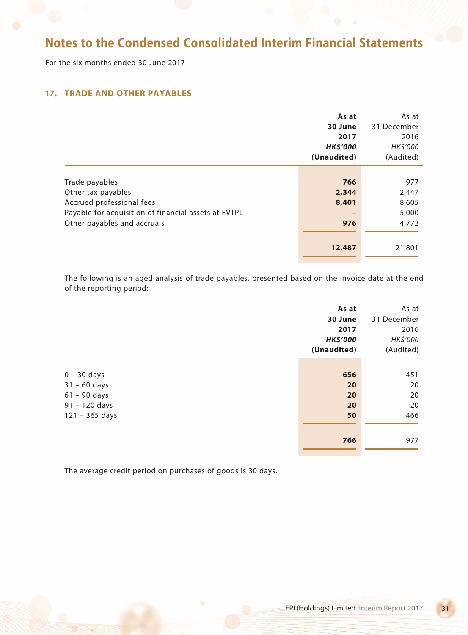For the six months ended 30 June 2017

## **17. TRADE AND OTHER PAYABLES**

|                                                      | As at           | As at       |
|------------------------------------------------------|-----------------|-------------|
|                                                      | 30 June         | 31 December |
|                                                      | 2017            | 2016        |
|                                                      | <b>HK\$'000</b> | HK\$'000    |
|                                                      | (Unaudited)     | (Audited)   |
|                                                      |                 |             |
| Trade payables                                       | 766             | 977         |
| Other tax payables                                   | 2,344           | 2,447       |
| Accrued professional fees                            | 8,401           | 8,605       |
| Payable for acquisition of financial assets at FVTPL |                 | 5,000       |
| Other payables and accruals                          | 976             | 4,772       |
|                                                      |                 |             |
|                                                      | 12,487          | 21,801      |
|                                                      |                 |             |

The following is an aged analysis of trade payables, presented based on the invoice date at the end of the reporting period:

|                  | As at           | As at       |
|------------------|-----------------|-------------|
|                  | 30 June         | 31 December |
|                  | 2017            | 2016        |
|                  | <b>HK\$'000</b> | HK\$'000    |
|                  | (Unaudited)     | (Audited)   |
|                  |                 |             |
| $0 - 30$ days    | 656             | 451         |
| $31 - 60$ days   | 20              | 20          |
| $61 - 90$ days   | 20              | 20          |
| $91 - 120$ days  | 20              | 20          |
| $121 - 365$ days | 50              | 466         |
|                  |                 |             |
|                  | 766             | 977         |
|                  |                 |             |

The average credit period on purchases of goods is 30 days.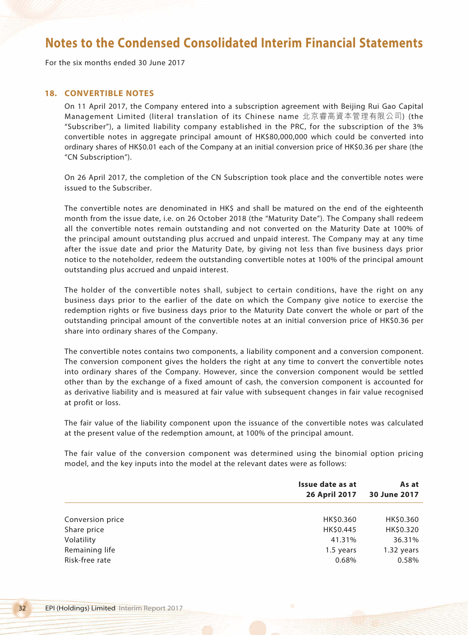For the six months ended 30 June 2017

## **18. CONVERTIBLE NOTES**

On 11 April 2017, the Company entered into a subscription agreement with Beijing Rui Gao Capital Management Limited (literal translation of its Chinese name 北京睿高資本管理有限公司) (the "Subscriber"), a limited liability company established in the PRC, for the subscription of the 3% convertible notes in aggregate principal amount of HK\$80,000,000 which could be converted into ordinary shares of HK\$0.01 each of the Company at an initial conversion price of HK\$0.36 per share (the "CN Subscription").

On 26 April 2017, the completion of the CN Subscription took place and the convertible notes were issued to the Subscriber.

The convertible notes are denominated in HK\$ and shall be matured on the end of the eighteenth month from the issue date, i.e. on 26 October 2018 (the "Maturity Date"). The Company shall redeem all the convertible notes remain outstanding and not converted on the Maturity Date at 100% of the principal amount outstanding plus accrued and unpaid interest. The Company may at any time after the issue date and prior the Maturity Date, by giving not less than five business days prior notice to the noteholder, redeem the outstanding convertible notes at 100% of the principal amount outstanding plus accrued and unpaid interest.

The holder of the convertible notes shall, subject to certain conditions, have the right on any business days prior to the earlier of the date on which the Company give notice to exercise the redemption rights or five business days prior to the Maturity Date convert the whole or part of the outstanding principal amount of the convertible notes at an initial conversion price of HK\$0.36 per share into ordinary shares of the Company.

The convertible notes contains two components, a liability component and a conversion component. The conversion component gives the holders the right at any time to convert the convertible notes into ordinary shares of the Company. However, since the conversion component would be settled other than by the exchange of a fixed amount of cash, the conversion component is accounted for as derivative liability and is measured at fair value with subsequent changes in fair value recognised at profit or loss.

The fair value of the liability component upon the issuance of the convertible notes was calculated at the present value of the redemption amount, at 100% of the principal amount.

The fair value of the conversion component was determined using the binomial option pricing model, and the key inputs into the model at the relevant dates were as follows:

|                  | Issue date as at<br>26 April 2017 | As at<br>30 June 2017 |
|------------------|-----------------------------------|-----------------------|
|                  |                                   |                       |
| Conversion price | HK\$0.360                         | HK\$0.360             |
| Share price      | HK\$0.445                         | HK\$0.320             |
| Volatility       | 41.31%                            | 36.31%                |
| Remaining life   | 1.5 years                         | 1.32 years            |
| Risk-free rate   | 0.68%                             | 0.58%                 |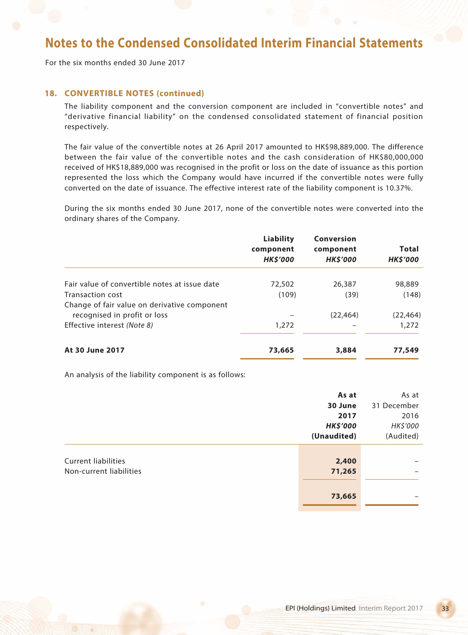For the six months ended 30 June 2017

## **18. CONVERTIBLE NOTES (continued)**

The liability component and the conversion component are included in "convertible notes" and "derivative financial liability" on the condensed consolidated statement of financial position respectively.

The fair value of the convertible notes at 26 April 2017 amounted to HK\$98,889,000. The difference between the fair value of the convertible notes and the cash consideration of HK\$80,000,000 received of HK\$18,889,000 was recognised in the profit or loss on the date of issuance as this portion represented the loss which the Company would have incurred if the convertible notes were fully converted on the date of issuance. The effective interest rate of the liability component is 10.37%.

During the six months ended 30 June 2017, none of the convertible notes were converted into the ordinary shares of the Company.

|                                               | <b>Liability</b><br>component<br><b>HK\$'000</b> | Conversion<br>component<br><b>HK\$'000</b> | <b>Total</b><br><b>HK\$'000</b> |
|-----------------------------------------------|--------------------------------------------------|--------------------------------------------|---------------------------------|
| Fair value of convertible notes at issue date | 72,502                                           | 26,387                                     | 98,889                          |
| Transaction cost                              | (109)                                            | (39)                                       | (148)                           |
| Change of fair value on derivative component  |                                                  |                                            |                                 |
| recognised in profit or loss                  |                                                  | (22.464)                                   | (22, 464)                       |
| Effective interest (Note 8)                   | 1,272                                            |                                            | 1,272                           |
| At 30 June 2017                               | 73,665                                           | 3,884                                      | 77,549                          |

An analysis of the liability component is as follows:

|                            | As at           | As at       |
|----------------------------|-----------------|-------------|
|                            | 30 June         | 31 December |
|                            | 2017            | 2016        |
|                            | <b>HK\$'000</b> | HK\$'000    |
|                            | (Unaudited)     | (Audited)   |
|                            |                 |             |
| <b>Current liabilities</b> | 2,400           |             |
| Non-current liabilities    | 71,265          |             |
|                            |                 |             |
|                            | 73,665          |             |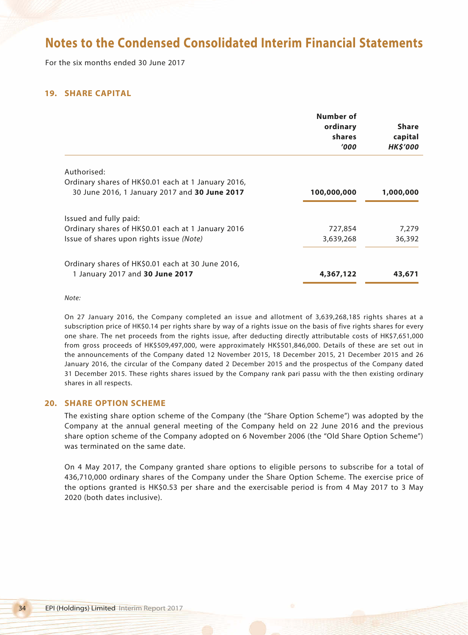For the six months ended 30 June 2017

## **19. SHARE CAPITAL**

|                                                                                                      | Number of<br>ordinary<br>shares<br>'000' | <b>Share</b><br>capital<br><b>HKS'000</b> |
|------------------------------------------------------------------------------------------------------|------------------------------------------|-------------------------------------------|
| Authorised:                                                                                          |                                          |                                           |
| Ordinary shares of HK\$0.01 each at 1 January 2016,<br>30 June 2016, 1 January 2017 and 30 June 2017 | 100,000,000                              | 1,000,000                                 |
| Issued and fully paid:                                                                               |                                          |                                           |
| Ordinary shares of HK\$0.01 each at 1 January 2016                                                   | 727,854                                  | 7,279                                     |
| Issue of shares upon rights issue (Note)                                                             | 3,639,268                                | 36,392                                    |
| Ordinary shares of HK\$0.01 each at 30 June 2016,                                                    |                                          |                                           |
| 1 January 2017 and 30 June 2017                                                                      | 4,367,122                                | 43,671                                    |

*Note:*

On 27 January 2016, the Company completed an issue and allotment of 3,639,268,185 rights shares at a subscription price of HK\$0.14 per rights share by way of a rights issue on the basis of five rights shares for every one share. The net proceeds from the rights issue, after deducting directly attributable costs of HK\$7,651,000 from gross proceeds of HK\$509,497,000, were approximately HK\$501,846,000. Details of these are set out in the announcements of the Company dated 12 November 2015, 18 December 2015, 21 December 2015 and 26 January 2016, the circular of the Company dated 2 December 2015 and the prospectus of the Company dated 31 December 2015. These rights shares issued by the Company rank pari passu with the then existing ordinary shares in all respects.

### **20. SHARE OPTION SCHEME**

The existing share option scheme of the Company (the "Share Option Scheme") was adopted by the Company at the annual general meeting of the Company held on 22 June 2016 and the previous share option scheme of the Company adopted on 6 November 2006 (the "Old Share Option Scheme") was terminated on the same date.

On 4 May 2017, the Company granted share options to eligible persons to subscribe for a total of 436,710,000 ordinary shares of the Company under the Share Option Scheme. The exercise price of the options granted is HK\$0.53 per share and the exercisable period is from 4 May 2017 to 3 May 2020 (both dates inclusive).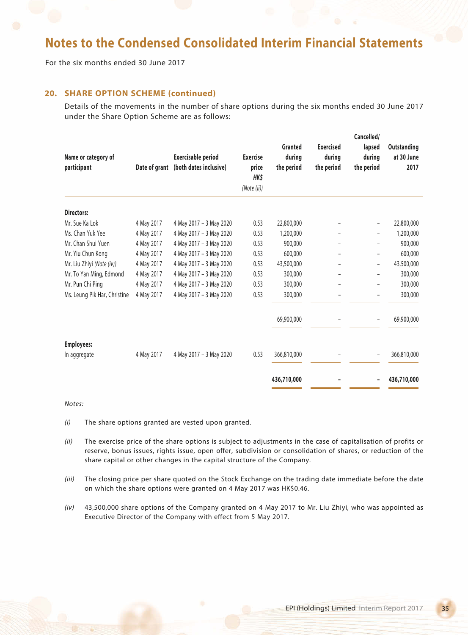For the six months ended 30 June 2017

## **20. SHARE OPTION SCHEME (continued)**

Details of the movements in the number of share options during the six months ended 30 June 2017 under the Share Option Scheme are as follows:

| Name or category of<br>participant | Date of grant | <b>Exercisable period</b><br>(both dates inclusive) | <b>Exercise</b><br>price<br>HK\$<br>(Note (ii)) | Granted<br>during<br>the period | <b>Exercised</b><br>during<br>the period | Cancelled/<br>lapsed<br>during<br>the period | Outstanding<br>at 30 June<br>2017 |
|------------------------------------|---------------|-----------------------------------------------------|-------------------------------------------------|---------------------------------|------------------------------------------|----------------------------------------------|-----------------------------------|
|                                    |               |                                                     |                                                 |                                 |                                          |                                              |                                   |
| Directors:                         |               |                                                     |                                                 |                                 |                                          |                                              |                                   |
| Mr. Sue Ka Lok                     | 4 May 2017    | 4 May 2017 - 3 May 2020                             | 0.53                                            | 22,800,000                      |                                          |                                              | 22,800,000                        |
| Ms. Chan Yuk Yee                   | 4 May 2017    | 4 May 2017 - 3 May 2020                             | 0.53                                            | 1,200,000                       |                                          | $\qquad \qquad -$                            | 1,200,000                         |
| Mr. Chan Shui Yuen                 | 4 May 2017    | 4 May 2017 - 3 May 2020                             | 0.53                                            | 900,000                         |                                          |                                              | 900,000                           |
| Mr. Yiu Chun Kong                  | 4 May 2017    | 4 May 2017 - 3 May 2020                             | 0.53                                            | 600,000                         |                                          |                                              | 600,000                           |
| Mr. Liu Zhiyi (Note (iv))          | 4 May 2017    | 4 May 2017 - 3 May 2020                             | 0.53                                            | 43,500,000                      |                                          | -                                            | 43,500,000                        |
| Mr. To Yan Ming, Edmond            | 4 May 2017    | 4 May 2017 - 3 May 2020                             | 0.53                                            | 300,000                         |                                          | -                                            | 300,000                           |
| Mr. Pun Chi Ping                   | 4 May 2017    | 4 May 2017 - 3 May 2020                             | 0.53                                            | 300,000                         |                                          |                                              | 300,000                           |
| Ms. Leung Pik Har, Christine       | 4 May 2017    | 4 May 2017 - 3 May 2020                             | 0.53                                            | 300,000                         |                                          | $\overline{\phantom{0}}$                     | 300,000                           |
|                                    |               |                                                     |                                                 | 69,900,000                      |                                          |                                              | 69,900,000                        |
| <b>Employees:</b>                  |               |                                                     |                                                 |                                 |                                          |                                              |                                   |
| In aggregate                       | 4 May 2017    | 4 May 2017 - 3 May 2020                             | 0.53                                            | 366,810,000                     |                                          | $\overline{\phantom{a}}$                     | 366,810,000                       |
|                                    |               |                                                     |                                                 | 436,710,000                     |                                          |                                              | 436,710,000                       |

#### *Notes:*

- *(i)* The share options granted are vested upon granted.
- *(ii)* The exercise price of the share options is subject to adjustments in the case of capitalisation of profits or reserve, bonus issues, rights issue, open offer, subdivision or consolidation of shares, or reduction of the share capital or other changes in the capital structure of the Company.
- *(iii)* The closing price per share quoted on the Stock Exchange on the trading date immediate before the date on which the share options were granted on 4 May 2017 was HK\$0.46.
- *(iv)* 43,500,000 share options of the Company granted on 4 May 2017 to Mr. Liu Zhiyi, who was appointed as Executive Director of the Company with effect from 5 May 2017.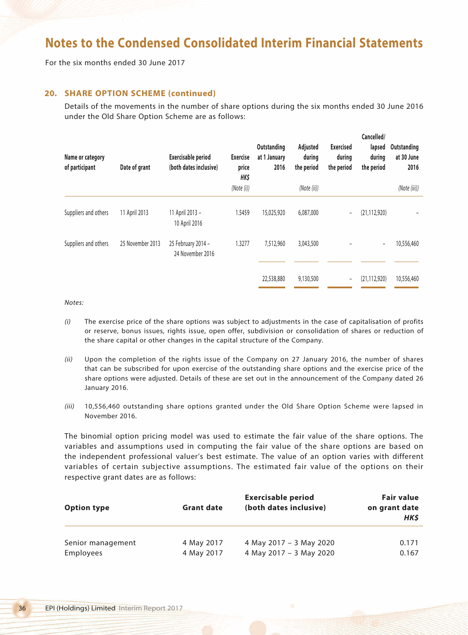For the six months ended 30 June 2017

## **20. SHARE OPTION SCHEME (continued)**

Details of the movements in the number of share options during the six months ended 30 June 2016 under the Old Share Option Scheme are as follows:

| Name or category<br>of participant | Date of grant    | Exercisable period<br>(both dates inclusive) | <b>Exercise</b><br>price<br>HK\$<br>(Note (i)) | Outstanding<br>at 1 January<br>2016 | Adjusted<br>during<br>the period<br>(Note (ii)) | <b>Exercised</b><br>during<br>the period | Cancelled/<br>lapsed<br>during<br>the period | Outstanding<br>at 30 June<br>2016<br>(Note (iii)) |
|------------------------------------|------------------|----------------------------------------------|------------------------------------------------|-------------------------------------|-------------------------------------------------|------------------------------------------|----------------------------------------------|---------------------------------------------------|
| Suppliers and others               | 11 April 2013    | 11 April 2013 -<br>10 April 2016             | 1.5459                                         | 15,025,920                          | 6,087,000                                       | $\overline{\phantom{a}}$                 | (21, 112, 920)                               |                                                   |
| Suppliers and others               | 25 November 2013 | 25 February 2014 -<br>24 November 2016       | 1.3277                                         | 7,512,960                           | 3,043,500                                       |                                          | $\overline{\phantom{0}}$                     | 10,556,460                                        |
|                                    |                  |                                              |                                                | 22,538,880                          | 9,130,500                                       | $\overline{\phantom{a}}$                 | (21, 112, 920)                               | 10,556,460                                        |

*Notes:*

- *(i)* The exercise price of the share options was subject to adjustments in the case of capitalisation of profits or reserve, bonus issues, rights issue, open offer, subdivision or consolidation of shares or reduction of the share capital or other changes in the capital structure of the Company.
- *(ii)* Upon the completion of the rights issue of the Company on 27 January 2016, the number of shares that can be subscribed for upon exercise of the outstanding share options and the exercise price of the share options were adjusted. Details of these are set out in the announcement of the Company dated 26 January 2016.
- *(iii)* 10,556,460 outstanding share options granted under the Old Share Option Scheme were lapsed in November 2016.

The binomial option pricing model was used to estimate the fair value of the share options. The variables and assumptions used in computing the fair value of the share options are based on the independent professional valuer's best estimate. The value of an option varies with different variables of certain subjective assumptions. The estimated fair value of the options on their respective grant dates are as follows:

| <b>Option type</b> | <b>Grant date</b> | <b>Exercisable period</b><br>(both dates inclusive) | <b>Fair value</b><br>on grant date<br>HK\$ |
|--------------------|-------------------|-----------------------------------------------------|--------------------------------------------|
| Senior management  | 4 May 2017        | 4 May 2017 - 3 May 2020                             | 0.171                                      |
| Employees          | 4 May 2017        | 4 May 2017 - 3 May 2020                             | 0.167                                      |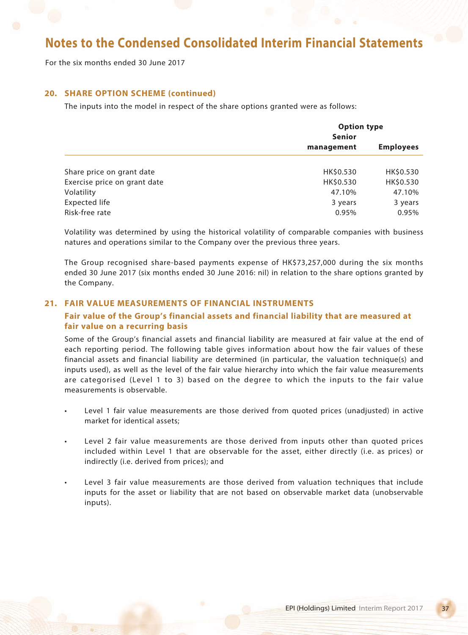For the six months ended 30 June 2017

## **20. SHARE OPTION SCHEME (continued)**

The inputs into the model in respect of the share options granted were as follows:

|                              | <b>Option type</b><br>Senior |                  |  |
|------------------------------|------------------------------|------------------|--|
|                              | management                   | <b>Employees</b> |  |
|                              |                              |                  |  |
| Share price on grant date    | HK\$0.530                    | HK\$0.530        |  |
| Exercise price on grant date | HK\$0.530                    | HK\$0.530        |  |
| Volatility                   | 47.10%                       | 47.10%           |  |
| <b>Expected life</b>         | 3 years                      | 3 years          |  |
| Risk-free rate               | 0.95%                        | 0.95%            |  |

Volatility was determined by using the historical volatility of comparable companies with business natures and operations similar to the Company over the previous three years.

The Group recognised share-based payments expense of HK\$73,257,000 during the six months ended 30 June 2017 (six months ended 30 June 2016: nil) in relation to the share options granted by the Company.

## **21. FAIR VALUE MEASUREMENTS OF FINANCIAL INSTRUMENTS**

## **Fair value of the Group's financial assets and financial liability that are measured at fair value on a recurring basis**

Some of the Group's financial assets and financial liability are measured at fair value at the end of each reporting period. The following table gives information about how the fair values of these financial assets and financial liability are determined (in particular, the valuation technique(s) and inputs used), as well as the level of the fair value hierarchy into which the fair value measurements are categorised (Level 1 to 3) based on the degree to which the inputs to the fair value measurements is observable.

- Level 1 fair value measurements are those derived from quoted prices (unadjusted) in active market for identical assets;
- Level 2 fair value measurements are those derived from inputs other than quoted prices included within Level 1 that are observable for the asset, either directly (i.e. as prices) or indirectly (i.e. derived from prices); and
- Level 3 fair value measurements are those derived from valuation techniques that include inputs for the asset or liability that are not based on observable market data (unobservable inputs).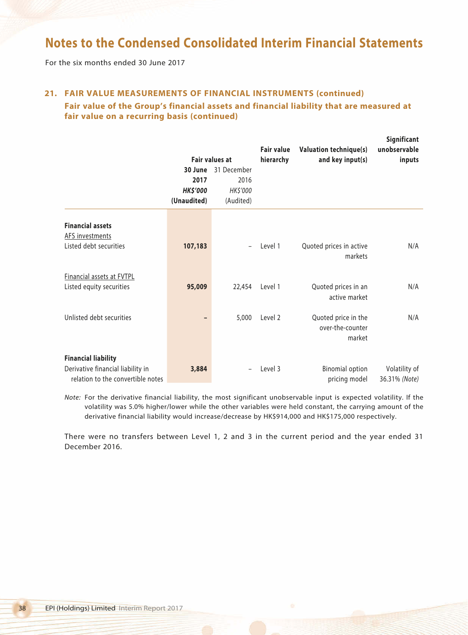For the six months ended 30 June 2017

## **21. FAIR VALUE MEASUREMENTS OF FINANCIAL INSTRUMENTS (continued)**

## **Fair value of the Group's financial assets and financial liability that are measured at fair value on a recurring basis (continued)**

|                                                                                                      | Fair values at                                    |                                              | <b>Fair value</b><br>hierarchy | <b>Valuation technique(s)</b><br>and key input(s) | Significant<br>unobservable<br>inputs |  |
|------------------------------------------------------------------------------------------------------|---------------------------------------------------|----------------------------------------------|--------------------------------|---------------------------------------------------|---------------------------------------|--|
|                                                                                                      | 30 June<br>2017<br><b>HK\$'000</b><br>(Unaudited) | 31 December<br>2016<br>HK\$'000<br>(Audited) |                                |                                                   |                                       |  |
| <b>Financial assets</b><br><b>AFS investments</b><br>Listed debt securities                          | 107,183                                           |                                              | Level 1                        | Quoted prices in active<br>markets                | N/A                                   |  |
| Financial assets at FVTPL<br>Listed equity securities                                                | 95,009                                            | 22,454                                       | Level 1                        | Quoted prices in an<br>active market              | N/A                                   |  |
| Unlisted debt securities                                                                             |                                                   | 5,000                                        | Level 2                        | Quoted price in the<br>over-the-counter<br>market | N/A                                   |  |
| <b>Financial liability</b><br>Derivative financial liability in<br>relation to the convertible notes | 3,884                                             |                                              | Level 3                        | <b>Binomial option</b><br>pricing model           | Volatility of<br>36.31% (Note)        |  |

*Note:* For the derivative financial liability, the most significant unobservable input is expected volatility. If the volatility was 5.0% higher/lower while the other variables were held constant, the carrying amount of the derivative financial liability would increase/decrease by HK\$914,000 and HK\$175,000 respectively.

There were no transfers between Level 1, 2 and 3 in the current period and the year ended 31 December 2016.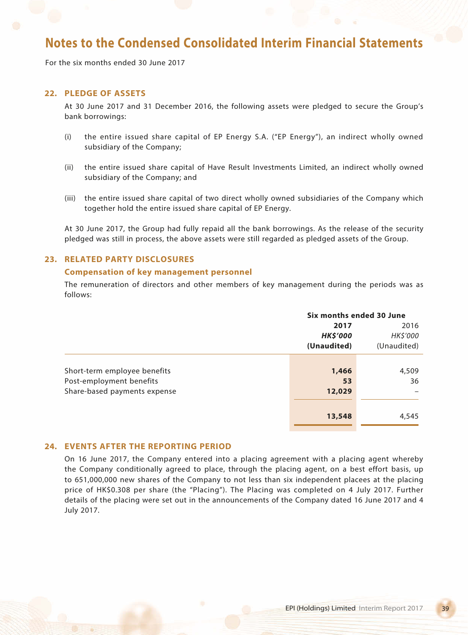For the six months ended 30 June 2017

## **22. PLEDGE OF ASSETS**

At 30 June 2017 and 31 December 2016, the following assets were pledged to secure the Group's bank borrowings:

- (i) the entire issued share capital of EP Energy S.A. ("EP Energy"), an indirect wholly owned subsidiary of the Company;
- (ii) the entire issued share capital of Have Result Investments Limited, an indirect wholly owned subsidiary of the Company; and
- (iii) the entire issued share capital of two direct wholly owned subsidiaries of the Company which together hold the entire issued share capital of EP Energy.

At 30 June 2017, the Group had fully repaid all the bank borrowings. As the release of the security pledged was still in process, the above assets were still regarded as pledged assets of the Group.

## **23. RELATED PARTY DISCLOSURES**

#### **Compensation of key management personnel**

The remuneration of directors and other members of key management during the periods was as follows:

|                              |                 | Six months ended 30 June |  |
|------------------------------|-----------------|--------------------------|--|
|                              | 2017            | 2016                     |  |
|                              | <b>HK\$'000</b> | HK\$'000                 |  |
|                              | (Unaudited)     | (Unaudited)              |  |
|                              |                 |                          |  |
| Short-term employee benefits | 1,466           | 4,509                    |  |
| Post-employment benefits     | 53              | 36                       |  |
| Share-based payments expense | 12,029          |                          |  |
|                              |                 |                          |  |
|                              | 13,548          | 4,545                    |  |
|                              |                 |                          |  |

### **24. EVENTS AFTER THE REPORTING PERIOD**

On 16 June 2017, the Company entered into a placing agreement with a placing agent whereby the Company conditionally agreed to place, through the placing agent, on a best effort basis, up to 651,000,000 new shares of the Company to not less than six independent placees at the placing price of HK\$0.308 per share (the "Placing"). The Placing was completed on 4 July 2017. Further details of the placing were set out in the announcements of the Company dated 16 June 2017 and 4 July 2017.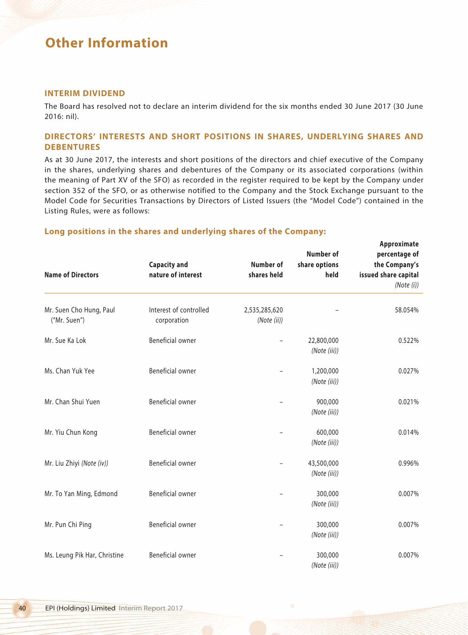### **INTERIM DIVIDEND**

The Board has resolved not to declare an interim dividend for the six months ended 30 June 2017 (30 June 2016: nil).

## **DIRECTORS' INTERESTS AND SHORT POSITIONS IN SHARES, UNDERLYING SHARES AND DEBENTURES**

As at 30 June 2017, the interests and short positions of the directors and chief executive of the Company in the shares, underlying shares and debentures of the Company or its associated corporations (within the meaning of Part XV of the SFO) as recorded in the register required to be kept by the Company under section 352 of the SFO, or as otherwise notified to the Company and the Stock Exchange pursuant to the Model Code for Securities Transactions by Directors of Listed Issuers (the "Model Code") contained in the Listing Rules, were as follows:

### **Long positions in the shares and underlying shares of the Company:**

|                                         | <b>Capacity and</b>                   | <b>Number of</b>             | Number of<br>share options<br>held | Approximate<br>percentage of<br>the Company's<br>issued share capital<br>(Note (i)) |
|-----------------------------------------|---------------------------------------|------------------------------|------------------------------------|-------------------------------------------------------------------------------------|
| <b>Name of Directors</b>                | nature of interest                    | shares held                  |                                    |                                                                                     |
|                                         |                                       |                              |                                    |                                                                                     |
| Mr. Suen Cho Hung, Paul<br>("Mr. Suen") | Interest of controlled<br>corporation | 2,535,285,620<br>(Note (ii)) |                                    | 58.054%                                                                             |
| Mr. Sue Ka Lok                          | Beneficial owner                      |                              | 22,800,000<br>(Note (iii))         | 0.522%                                                                              |
| Ms. Chan Yuk Yee                        | Beneficial owner                      |                              | 1,200,000<br>(Note (iii))          | 0.027%                                                                              |
| Mr. Chan Shui Yuen                      | Beneficial owner                      |                              | 900,000<br>(Note (iii))            | 0.021%                                                                              |
| Mr. Yiu Chun Kong                       | Beneficial owner                      |                              | 600,000<br>(Note (iii))            | 0.014%                                                                              |
| Mr. Liu Zhiyi (Note (iv))               | Beneficial owner                      |                              | 43,500,000<br>(Note (iii))         | 0.996%                                                                              |
| Mr. To Yan Ming, Edmond                 | Beneficial owner                      |                              | 300,000<br>(Note (iii))            | 0.007%                                                                              |
| Mr. Pun Chi Ping                        | Beneficial owner                      |                              | 300,000<br>(Note (iii))            | 0.007%                                                                              |
| Ms. Leung Pik Har, Christine            | Beneficial owner                      |                              | 300,000<br>(Note (iii))            | 0.007%                                                                              |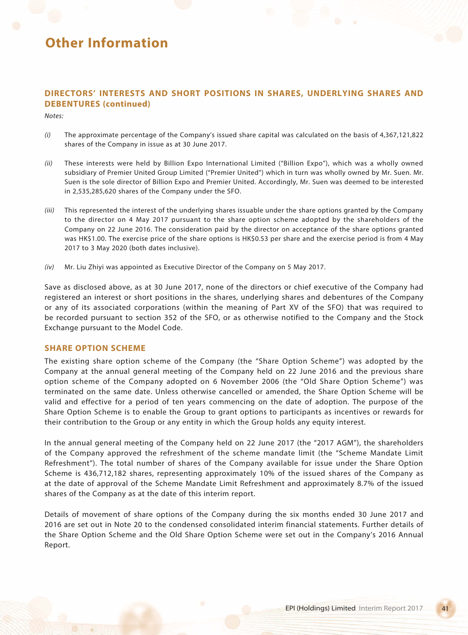## **DIRECTORS' INTERESTS AND SHORT POSITIONS IN SHARES, UNDERLYING SHARES AND DEBENTURES (continued)**

*Notes:*

- *(i)* The approximate percentage of the Company's issued share capital was calculated on the basis of 4,367,121,822 shares of the Company in issue as at 30 June 2017.
- *(ii)* These interests were held by Billion Expo International Limited ("Billion Expo"), which was a wholly owned subsidiary of Premier United Group Limited ("Premier United") which in turn was wholly owned by Mr. Suen. Mr. Suen is the sole director of Billion Expo and Premier United. Accordingly, Mr. Suen was deemed to be interested in 2,535,285,620 shares of the Company under the SFO.
- *(iii)* This represented the interest of the underlying shares issuable under the share options granted by the Company to the director on 4 May 2017 pursuant to the share option scheme adopted by the shareholders of the Company on 22 June 2016. The consideration paid by the director on acceptance of the share options granted was HK\$1.00. The exercise price of the share options is HK\$0.53 per share and the exercise period is from 4 May 2017 to 3 May 2020 (both dates inclusive).
- *(iv)* Mr. Liu Zhiyi was appointed as Executive Director of the Company on 5 May 2017.

Save as disclosed above, as at 30 June 2017, none of the directors or chief executive of the Company had registered an interest or short positions in the shares, underlying shares and debentures of the Company or any of its associated corporations (within the meaning of Part XV of the SFO) that was required to be recorded pursuant to section 352 of the SFO, or as otherwise notified to the Company and the Stock Exchange pursuant to the Model Code.

### **SHARE OPTION SCHEME**

The existing share option scheme of the Company (the "Share Option Scheme") was adopted by the Company at the annual general meeting of the Company held on 22 June 2016 and the previous share option scheme of the Company adopted on 6 November 2006 (the "Old Share Option Scheme") was terminated on the same date. Unless otherwise cancelled or amended, the Share Option Scheme will be valid and effective for a period of ten years commencing on the date of adoption. The purpose of the Share Option Scheme is to enable the Group to grant options to participants as incentives or rewards for their contribution to the Group or any entity in which the Group holds any equity interest.

In the annual general meeting of the Company held on 22 June 2017 (the "2017 AGM"), the shareholders of the Company approved the refreshment of the scheme mandate limit (the "Scheme Mandate Limit Refreshment"). The total number of shares of the Company available for issue under the Share Option Scheme is 436,712,182 shares, representing approximately 10% of the issued shares of the Company as at the date of approval of the Scheme Mandate Limit Refreshment and approximately 8.7% of the issued shares of the Company as at the date of this interim report.

Details of movement of share options of the Company during the six months ended 30 June 2017 and 2016 are set out in Note 20 to the condensed consolidated interim financial statements. Further details of the Share Option Scheme and the Old Share Option Scheme were set out in the Company's 2016 Annual Report.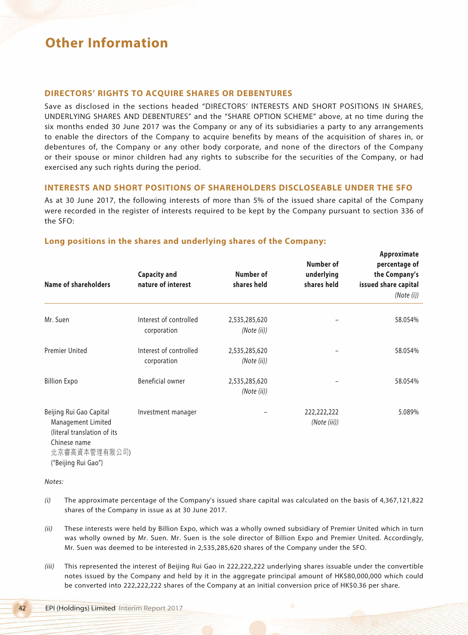### **DIRECTORS' RIGHTS TO ACQUIRE SHARES OR DEBENTURES**

Save as disclosed in the sections headed "DIRECTORS' INTERESTS AND SHORT POSITIONS IN SHARES, UNDERLYING SHARES AND DEBENTURES" and the "SHARE OPTION SCHEME" above, at no time during the six months ended 30 June 2017 was the Company or any of its subsidiaries a party to any arrangements to enable the directors of the Company to acquire benefits by means of the acquisition of shares in, or debentures of, the Company or any other body corporate, and none of the directors of the Company or their spouse or minor children had any rights to subscribe for the securities of the Company, or had exercised any such rights during the period.

### **INTERESTS AND SHORT POSITIONS OF SHAREHOLDERS DISCLOSEABLE UNDER THE SFO**

As at 30 June 2017, the following interests of more than 5% of the issued share capital of the Company were recorded in the register of interests required to be kept by the Company pursuant to section 336 of the SFO:

### **Long positions in the shares and underlying shares of the Company:**

| Name of shareholders                                                                                          | <b>Capacity and</b><br>nature of interest | Number of<br>shares held     | Number of<br>underlying<br>shares held | Approximate<br>percentage of<br>the Company's<br>issued share capital<br>(Note (i)) |
|---------------------------------------------------------------------------------------------------------------|-------------------------------------------|------------------------------|----------------------------------------|-------------------------------------------------------------------------------------|
| Mr. Suen                                                                                                      | Interest of controlled<br>corporation     | 2,535,285,620<br>(Note (ii)) |                                        | 58.054%                                                                             |
| <b>Premier United</b>                                                                                         | Interest of controlled<br>corporation     | 2,535,285,620<br>(Note (ii)) |                                        | 58.054%                                                                             |
| <b>Billion Expo</b>                                                                                           | Beneficial owner                          | 2,535,285,620<br>(Note (ii)) |                                        | 58.054%                                                                             |
| Beijing Rui Gao Capital<br>Management Limited<br>(literal translation of its<br>Chinese name<br>北京睿高資本管理有限公司) | Investment manager                        |                              | 222,222,222<br>(Note (iii))            | 5.089%                                                                              |

("Beijing Rui Gao")

*Notes:*

- *(i)* The approximate percentage of the Company's issued share capital was calculated on the basis of 4,367,121,822 shares of the Company in issue as at 30 June 2017.
- *(ii)* These interests were held by Billion Expo, which was a wholly owned subsidiary of Premier United which in turn was wholly owned by Mr. Suen. Mr. Suen is the sole director of Billion Expo and Premier United. Accordingly, Mr. Suen was deemed to be interested in 2,535,285,620 shares of the Company under the SFO.
- *(iii)* This represented the interest of Beijing Rui Gao in 222,222,222 underlying shares issuable under the convertible notes issued by the Company and held by it in the aggregate principal amount of HK\$80,000,000 which could be converted into 222,222,222 shares of the Company at an initial conversion price of HK\$0.36 per share.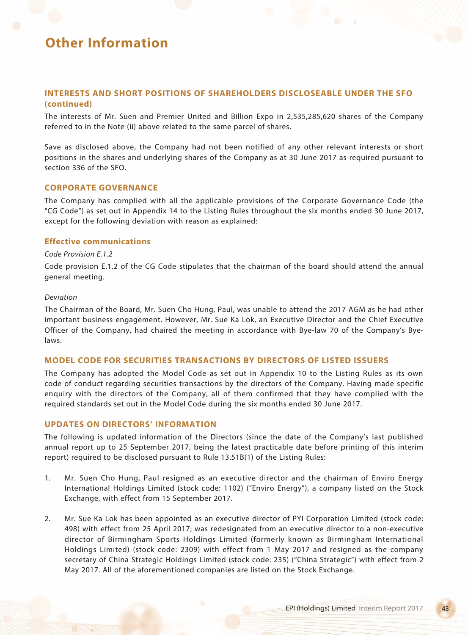### **INTERESTS AND SHORT POSITIONS OF SHAREHOLDERS DISCLOSEABLE UNDER THE SFO (continued)**

The interests of Mr. Suen and Premier United and Billion Expo in 2,535,285,620 shares of the Company referred to in the Note (ii) above related to the same parcel of shares.

Save as disclosed above, the Company had not been notified of any other relevant interests or short positions in the shares and underlying shares of the Company as at 30 June 2017 as required pursuant to section 336 of the SFO.

### **CORPORATE GOVERNANCE**

The Company has complied with all the applicable provisions of the Corporate Governance Code (the "CG Code") as set out in Appendix 14 to the Listing Rules throughout the six months ended 30 June 2017, except for the following deviation with reason as explained:

### **Effective communications**

#### *Code Provision E.1.2*

Code provision E.1.2 of the CG Code stipulates that the chairman of the board should attend the annual general meeting.

#### *Deviation*

The Chairman of the Board, Mr. Suen Cho Hung, Paul, was unable to attend the 2017 AGM as he had other important business engagement. However, Mr. Sue Ka Lok, an Executive Director and the Chief Executive Officer of the Company, had chaired the meeting in accordance with Bye-law 70 of the Company's Byelaws.

#### **MODEL CODE FOR SECURITIES TRANSACTIONS BY DIRECTORS OF LISTED ISSUERS**

The Company has adopted the Model Code as set out in Appendix 10 to the Listing Rules as its own code of conduct regarding securities transactions by the directors of the Company. Having made specific enquiry with the directors of the Company, all of them confirmed that they have complied with the required standards set out in the Model Code during the six months ended 30 June 2017.

### **UPDATES ON DIRECTORS' INFORMATION**

The following is updated information of the Directors (since the date of the Company's last published annual report up to 25 September 2017, being the latest practicable date before printing of this interim report) required to be disclosed pursuant to Rule 13.51B(1) of the Listing Rules:

- 1. Mr. Suen Cho Hung, Paul resigned as an executive director and the chairman of Enviro Energy International Holdings Limited (stock code: 1102) ("Enviro Energy"), a company listed on the Stock Exchange, with effect from 15 September 2017.
- 2. Mr. Sue Ka Lok has been appointed as an executive director of PYI Corporation Limited (stock code: 498) with effect from 25 April 2017; was redesignated from an executive director to a non-executive director of Birmingham Sports Holdings Limited (formerly known as Birmingham International Holdings Limited) (stock code: 2309) with effect from 1 May 2017 and resigned as the company secretary of China Strategic Holdings Limited (stock code: 235) ("China Strategic") with effect from 2 May 2017. All of the aforementioned companies are listed on the Stock Exchange.